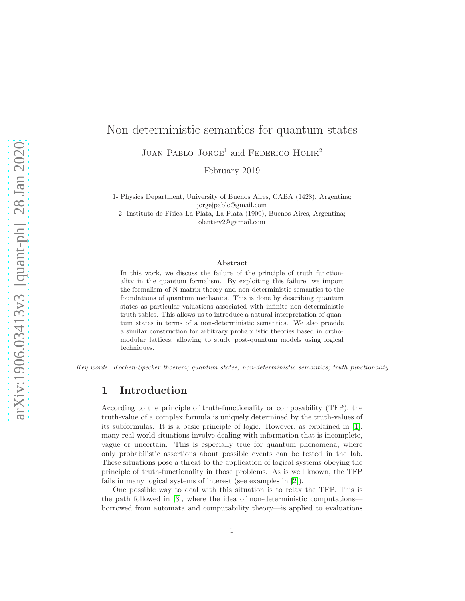# JUAN PABLO JORGE<sup>1</sup> and FEDERICO HOLIK<sup>2</sup>

1- Physics Department, University of Buenos Aires, CABA (1428), Argentina; jorgejpablo@gmail.com

February 2019

Non-deterministic semantics for quantum states

2- Instituto de Física La Plata, La Plata (1900), Buenos Aires, Argentina; olentiev2@gamail.com

#### Abstract

In this work, we discuss the failure of the principle of truth functionality in the quantum formalism. By exploiting this failure, we import the formalism of N-matrix theory and non-deterministic semantics to the foundations of quantum mechanics. This is done by describing quantum states as particular valuations associated with infinite non-deterministic truth tables. This allows us to introduce a natural interpretation of quantum states in terms of a non-deterministic semantics. We also provide a similar construction for arbitrary probabilistic theories based in orthomodular lattices, allowing to study post-quantum models using logical techniques.

Key words: Kochen-Specker thoerem; quantum states; non-deterministic semantics; truth functionality

# 1 Introduction

According to the principle of truth-functionality or composability (TFP), the truth-value of a complex formula is uniquely determined by the truth-values of its subformulas. It is a basic principle of logic. However, as explained in [\[1\]](#page-30-0), many real-world situations involve dealing with information that is incomplete, vague or uncertain. This is especially true for quantum phenomena, where only probabilistic assertions about possible events can be tested in the lab. These situations pose a threat to the application of logical systems obeying the principle of truth-functionality in those problems. As is well known, the TFP fails in many logical systems of interest (see examples in [\[2\]](#page-30-1)).

One possible way to deal with this situation is to relax the TFP. This is the path followed in [\[3\]](#page-30-2), where the idea of non-deterministic computations borrowed from automata and computability theory—is applied to evaluations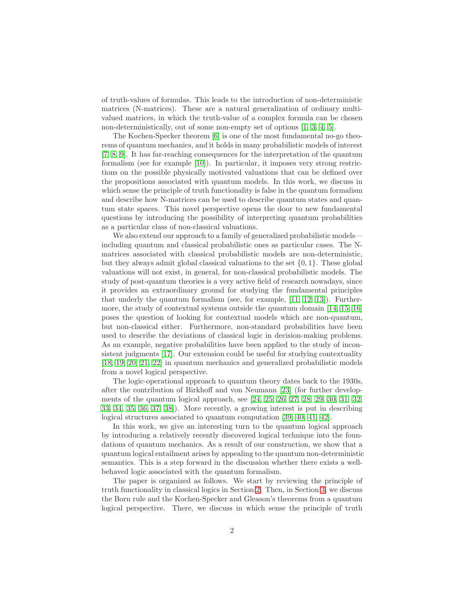of truth-values of formulas. This leads to the introduction of non-deterministic matrices (N-matrices). These are a natural generalization of ordinary multivalued matrices, in which the truth-value of a complex formula can be chosen non-deterministically, out of some non-empty set of options [\[1,](#page-30-0) [3,](#page-30-2) [4,](#page-30-3) [5\]](#page-30-4).

The Kochen-Specker theorem [\[6\]](#page-30-5) is one of the most fundamental no-go theorems of quantum mechanics, and it holds in many probabilistic models of interest [\[7,](#page-30-6) [8,](#page-30-7) [9\]](#page-30-8). It has far-reaching consequences for the interpretation of the quantum formalism (see for example [\[10\]](#page-30-9)). In particular, it imposes very strong restrictions on the possible physically motivated valuations that can be defined over the propositions associated with quantum models. In this work, we discuss in which sense the principle of truth functionality is false in the quantum formalism and describe how N-matrices can be used to describe quantum states and quantum state spaces. This novel perspective opens the door to new fundamental questions by introducing the possibility of interpreting quantum probabilities as a particular class of non-classical valuations.

We also extend our approach to a family of generalized probabilistic models including quantum and classical probabilistic ones as particular cases. The Nmatrices associated with classical probabilistic models are non-deterministic, but they always admit global classical valuations to the set  $\{0, 1\}$ . These global valuations will not exist, in general, for non-classical probabilistic models. The study of post-quantum theories is a very active field of research nowadays, since it provides an extraordinary ground for studying the fundamental principles that underly the quantum formalism (see, for example, [\[11,](#page-30-10) [12,](#page-31-0) [13\]](#page-31-1)). Furthermore, the study of contextual systems outside the quantum domain [\[14,](#page-31-2) [15,](#page-31-3) [16\]](#page-31-4) poses the question of looking for contextual models which are non-quantum, but non-classical either. Furthermore, non-standard probabilities have been used to describe the deviations of classical logic in decision-making problems. As an example, negative probabilities have been applied to the study of inconsistent judgments [\[17\]](#page-31-5). Our extension could be useful for studying contextuality [\[18,](#page-31-6) [19,](#page-31-7) [20,](#page-31-8) [21,](#page-31-9) [22\]](#page-31-10) in quantum mechanics and generalized probabilistic models from a novel logical perspective.

The logic-operational approach to quantum theory dates back to the 1930s, after the contribution of Birkhoff and von Neumann [\[23\]](#page-31-11) (for further developments of the quantum logical approach, see [\[24,](#page-31-12) [25,](#page-31-13) [26,](#page-31-14) [27,](#page-32-0) [28,](#page-32-1) [29,](#page-32-2) [30,](#page-32-3) [31,](#page-32-4) [32,](#page-32-5) 33, [34,](#page-32-6) 35, 36, 37, 38]). More recently, a growing interest is put in describing logical structures associated to quantum computation [\[39,](#page-32-7) [40,](#page-32-8) [41,](#page-32-9) [42\]](#page-33-0).

In this work, we give an interesting turn to the quantum logical approach by introducing a relatively recently discovered logical technique into the foundations of quantum mechanics. As a result of our construction, we show that a quantum logical entailment arises by appealing to the quantum non-deterministic semantics. This is a step forward in the discussion whether there exists a wellbehaved logic associated with the quantum formalism.

The paper is organized as follows. We start by reviewing the principle of truth functionality in classical logics in Section [2.](#page-2-0) Then, in Section [3,](#page-6-0) we discuss the Born rule and the Kochen-Specker and Gleason's theorems from a quantum logical perspective. There, we discuss in which sense the principle of truth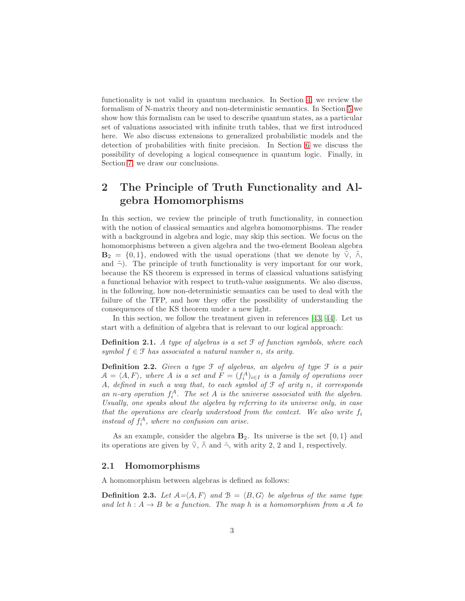functionality is not valid in quantum mechanics. In Section [4,](#page-13-0) we review the formalism of N-matrix theory and non-deterministic semantics. In Section [5](#page-16-0) we show how this formalism can be used to describe quantum states, as a particular set of valuations associated with infinite truth tables, that we first introduced here. We also discuss extensions to generalized probabilistic models and the detection of probabilities with finite precision. In Section [6](#page-21-0) we discuss the possibility of developing a logical consequence in quantum logic. Finally, in Section [7,](#page-29-0) we draw our conclusions.

# <span id="page-2-0"></span>2 The Principle of Truth Functionality and Algebra Homomorphisms

In this section, we review the principle of truth functionality, in connection with the notion of classical semantics and algebra homomorphisms. The reader with a background in algebra and logic, may skip this section. We focus on the homomorphisms between a given algebra and the two-element Boolean algebra  $\mathbf{B}_2 = \{0, 1\}$ , endowed with the usual operations (that we denote by  $\tilde{\vee}$ ,  $\tilde{\wedge}$ , and  $\tilde{\neg}$ ). The principle of truth functionality is very important for our work, because the KS theorem is expressed in terms of classical valuations satisfying a functional behavior with respect to truth-value assignments. We also discuss, in the following, how non-deterministic semantics can be used to deal with the failure of the TFP, and how they offer the possibility of understanding the consequences of the KS theorem under a new light.

In this section, we follow the treatment given in references [\[43,](#page-33-1) [44\]](#page-33-2). Let us start with a definition of algebra that is relevant to our logical approach:

**Definition 2.1.** A type of algebras is a set  $\mathcal F$  of function symbols, where each symbol  $f \in \mathcal{F}$  has associated a natural number n, its arity.

**Definition 2.2.** Given a type  $\mathcal F$  of algebras, an algebra of type  $\mathcal F$  is a pair  $A = \langle A, F \rangle$ , where A is a set and  $F = (f_i^A)_{i \in I}$  is a family of operations over A, defined in such a way that, to each symbol of  $\mathcal F$  of arity n, it corresponds an n-ary operation  $f_i^A$ . The set A is the universe associated with the algebra. Usually, one speaks about the algebra by referring to its universe only, in case that the operations are clearly understood from the context. We also write  $f_i$ instead of  $f_i^A$ , where no confusion can arise.

As an example, consider the algebra  $\mathbf{B}_2$ . Its universe is the set  $\{0,1\}$  and its operations are given by  $\tilde{V}$ ,  $\tilde{\wedge}$  and  $\tilde{\neg}$ , with arity 2, 2 and 1, respectively.

#### 2.1 Homomorphisms

A homomorphism between algebras is defined as follows:

<span id="page-2-1"></span>**Definition 2.3.** Let  $A = \langle A, F \rangle$  and  $B = \langle B, G \rangle$  be algebras of the same type and let  $h: A \rightarrow B$  be a function. The map h is a homomorphism from a A to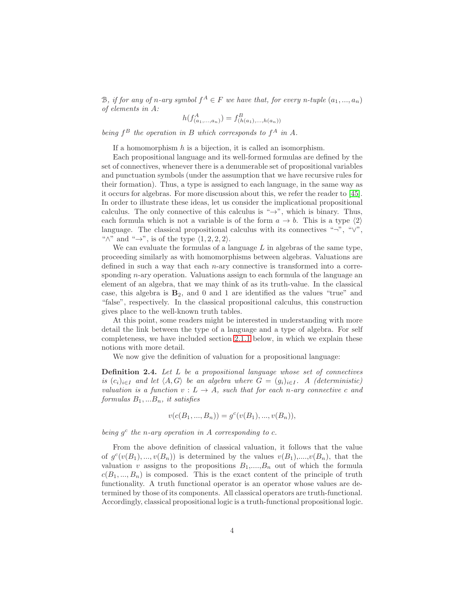B, if for any of n-ary symbol  $f^A \in F$  we have that, for every n-tuple  $(a_1, ..., a_n)$ of elements in A: A

$$
h(f_{(a_1,...,a_n)}^A) = f_{(h(a_1),...,h(a_n))}^B
$$

being  $f^B$  the operation in B which corresponds to  $f^A$  in A.

If a homomorphism  $h$  is a bijection, it is called an isomorphism.

Each propositional language and its well-formed formulas are defined by the set of connectives, whenever there is a denumerable set of propositional variables and punctuation symbols (under the assumption that we have recursive rules for their formation). Thus, a type is assigned to each language, in the same way as it occurs for algebras. For more discussion about this, we refer the reader to [\[45\]](#page-33-3). In order to illustrate these ideas, let us consider the implicational propositional calculus. The only connective of this calculus is " $\rightarrow$ ", which is binary. Thus, each formula which is not a variable is of the form  $a \to b$ . This is a type  $\langle 2 \rangle$ language. The classical propositional calculus with its connectives "¬", " $\vee$ ", " $\wedge$ " and " $\rightarrow$ ", is of the type  $\langle 1, 2, 2, 2 \rangle$ .

We can evaluate the formulas of a language  $L$  in algebras of the same type, proceeding similarly as with homomorphisms between algebras. Valuations are defined in such a way that each  $n$ -ary connective is transformed into a corresponding *n*-ary operation. Valuations assign to each formula of the language an element of an algebra, that we may think of as its truth-value. In the classical case, this algebra is  $B_2$ , and 0 and 1 are identified as the values "true" and "false", respectively. In the classical propositional calculus, this construction gives place to the well-known truth tables.

At this point, some readers might be interested in understanding with more detail the link between the type of a language and a type of algebra. For self completeness, we have included section [2.1.1](#page-4-0) below, in which we explain these notions with more detail.

We now give the definition of valuation for a propositional language:

<span id="page-3-0"></span>Definition 2.4. Let L be a propositional language whose set of connectives is  $(c_i)_{i\in I}$  and let  $\langle A, G \rangle$  be an algebra where  $G = (g_i)_{i\in I}$ . A (deterministic) valuation is a function  $v: L \to A$ , such that for each n-ary connective c and  $formulas B_1, ... B_n, it satisfies$ 

$$
v(c(B_1, ..., B_n)) = g^c(v(B_1), ..., v(B_n)),
$$

being  $g^c$  the n-ary operation in A corresponding to c.

From the above definition of classical valuation, it follows that the value of  $g^c(v(B_1),...,v(B_n))$  is determined by the values  $v(B_1),...,v(B_n)$ , that the valuation v assigns to the propositions  $B_1, \ldots, B_n$  out of which the formula  $c(B_1, ..., B_n)$  is composed. This is the exact content of the principle of truth functionality. A truth functional operator is an operator whose values are determined by those of its components. All classical operators are truth-functional. Accordingly, classical propositional logic is a truth-functional propositional logic.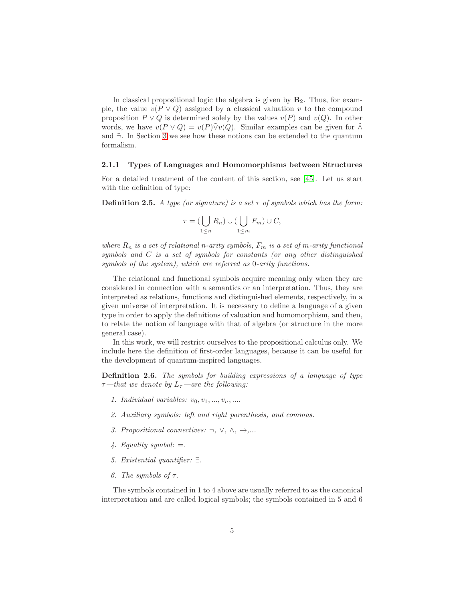In classical propositional logic the algebra is given by  $B_2$ . Thus, for example, the value  $v(P \vee Q)$  assigned by a classical valuation v to the compound proposition  $P \vee Q$  is determined solely by the values  $v(P)$  and  $v(Q)$ . In other words, we have  $v(P \vee Q) = v(P)\tilde{\vee}v(Q)$ . Similar examples can be given for  $\tilde{\wedge}$ and  $\tilde{\neg}$ . In Section [3](#page-6-0) we see how these notions can be extended to the quantum formalism.

#### <span id="page-4-0"></span>2.1.1 Types of Languages and Homomorphisms between Structures

For a detailed treatment of the content of this section, see [\[45\]](#page-33-3). Let us start with the definition of type:

**Definition 2.5.** A type (or signature) is a set  $\tau$  of symbols which has the form:

$$
\tau = (\bigcup_{1 \leq n} R_n) \cup (\bigcup_{1 \leq m} F_m) \cup C,
$$

where  $R_n$  is a set of relational n-arity symbols,  $F_m$  is a set of m-arity functional symbols and C is a set of symbols for constants (or any other distinguished symbols of the system), which are referred as 0-arity functions.

The relational and functional symbols acquire meaning only when they are considered in connection with a semantics or an interpretation. Thus, they are interpreted as relations, functions and distinguished elements, respectively, in a given universe of interpretation. It is necessary to define a language of a given type in order to apply the definitions of valuation and homomorphism, and then, to relate the notion of language with that of algebra (or structure in the more general case).

In this work, we will restrict ourselves to the propositional calculus only. We include here the definition of first-order languages, because it can be useful for the development of quantum-inspired languages.

Definition 2.6. The symbols for building expressions of a language of type  $\tau$ —that we denote by  $L_{\tau}$ —are the following:

- 1. Individual variables:  $v_0, v_1, ..., v_n, ...$
- 2. Auxiliary symbols: left and right parenthesis, and commas.
- 3. Propositional connectives:  $\neg$ ,  $\vee$ ,  $\wedge$ ,  $\rightarrow$ ,...
- 4. Equality symbol:  $=$ .
- 5. Existential quantifier: ∃.
- 6. The symbols of  $\tau$ .

The symbols contained in 1 to 4 above are usually referred to as the canonical interpretation and are called logical symbols; the symbols contained in 5 and 6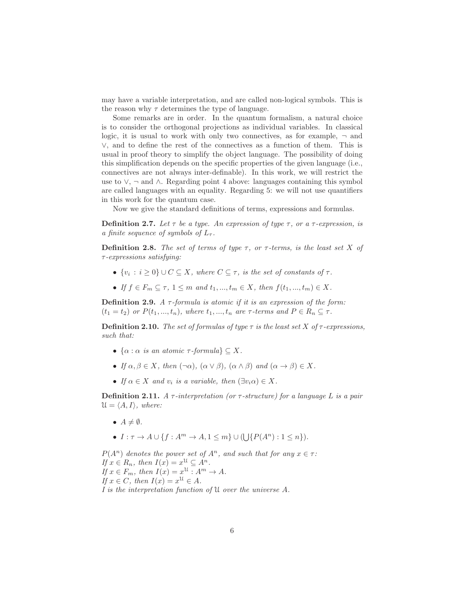may have a variable interpretation, and are called non-logical symbols. This is the reason why  $\tau$  determines the type of language.

Some remarks are in order. In the quantum formalism, a natural choice is to consider the orthogonal projections as individual variables. In classical logic, it is usual to work with only two connectives, as for example,  $\neg$  and ∨, and to define the rest of the connectives as a function of them. This is usual in proof theory to simplify the object language. The possibility of doing this simplification depends on the specific properties of the given language (i.e., connectives are not always inter-definable). In this work, we will restrict the use to  $\vee$ ,  $\neg$  and  $\wedge$ . Regarding point 4 above: languages containing this symbol are called languages with an equality. Regarding 5: we will not use quantifiers in this work for the quantum case.

Now we give the standard definitions of terms, expressions and formulas.

**Definition 2.7.** Let  $\tau$  be a type. An expression of type  $\tau$ , or a  $\tau$ -expression, is a finite sequence of symbols of  $L_{\tau}$ .

**Definition 2.8.** The set of terms of type  $\tau$ , or  $\tau$ -terms, is the least set X of τ-expressions satisfying:

- $\{v_i : i \geq 0\} \cup C \subseteq X$ , where  $C \subseteq \tau$ , is the set of constants of  $\tau$ .
- If  $f \in F_m \subseteq \tau$ ,  $1 \leq m$  and  $t_1, ..., t_m \in X$ , then  $f(t_1, ..., t_m) \in X$ .

**Definition 2.9.** A  $\tau$ -formula is atomic if it is an expression of the form:  $(t_1 = t_2)$  or  $P(t_1, ..., t_n)$ , where  $t_1, ..., t_n$  are  $\tau$ -terms and  $P \in R_n \subseteq \tau$ .

**Definition 2.10.** The set of formulas of type  $\tau$  is the least set X of  $\tau$ -expressions, such that:

- $\{\alpha : \alpha \text{ is an atomic } \tau\text{-formula}\} \subseteq X$ .
- If  $\alpha, \beta \in X$ , then  $(\neg \alpha)$ ,  $(\alpha \vee \beta)$ ,  $(\alpha \wedge \beta)$  and  $(\alpha \rightarrow \beta) \in X$ .
- If  $\alpha \in X$  and  $v_i$  is a variable, then  $(\exists v_i \alpha) \in X$ .

**Definition 2.11.** A  $\tau$ -interpretation (or  $\tau$ -structure) for a language L is a pair  $\mathcal{U} = \langle A, I \rangle$ , where:

•  $A \neq \emptyset$ .

• 
$$
I: \tau \to A \cup \{f: A^m \to A, 1 \leq m\} \cup (\bigcup \{P(A^n): 1 \leq n\}).
$$

 $P(A^n)$  denotes the power set of  $A^n$ , and such that for any  $x \in \tau$ : If  $x \in R_n$ , then  $I(x) = x^{\mathfrak{U}} \subseteq A^n$ . If  $x \in F_m$ , then  $I(x) = x^{\mathfrak{U}} : A^m \to A$ . If  $x \in C$ , then  $I(x) = x^{\mathfrak{U}} \in A$ . I is the interpretation function of U over the universe A.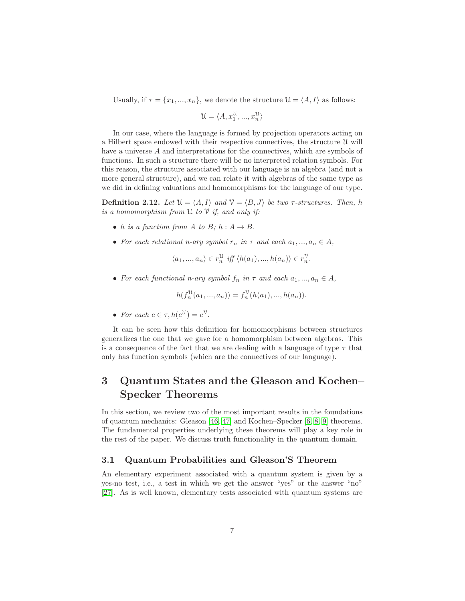Usually, if  $\tau = \{x_1, ..., x_n\}$ , we denote the structure  $\mathcal{U} = \langle A, I \rangle$  as follows:

$$
\mathcal{U}=\langle A, x_1^\mathcal{U},...,x_n^\mathcal{U}\rangle
$$

In our case, where the language is formed by projection operators acting on a Hilbert space endowed with their respective connectives, the structure U will have a universe A and interpretations for the connectives, which are symbols of functions. In such a structure there will be no interpreted relation symbols. For this reason, the structure associated with our language is an algebra (and not a more general structure), and we can relate it with algebras of the same type as we did in defining valuations and homomorphisms for the language of our type.

**Definition 2.12.** Let  $\mathcal{U} = \langle A, I \rangle$  and  $\mathcal{V} = \langle B, J \rangle$  be two  $\tau$ -structures. Then, h is a homomorphism from  $\mathfrak U$  to  $\mathfrak V$  if, and only if:

- h is a function from A to B;  $h : A \rightarrow B$ .
- For each relational n-ary symbol  $r_n$  in  $\tau$  and each  $a_1, ..., a_n \in A$ ,

$$
\langle a_1, ..., a_n \rangle \in r_n^{\mathcal{U}} \text{ iff } \langle h(a_1), ..., h(a_n) \rangle \in r_n^{\mathcal{V}}.
$$

• For each functional n-ary symbol  $f_n$  in  $\tau$  and each  $a_1, ..., a_n \in A$ ,

$$
h(f_n^{\mathcal{U}}(a_1, ..., a_n)) = f_n^{\mathcal{V}}(h(a_1), ..., h(a_n)).
$$

• For each  $c \in \tau, h(c^{\mathfrak{U}}) = c^{\mathfrak{V}}$ .

It can be seen how this definition for homomorphisms between structures generalizes the one that we gave for a homomorphism between algebras. This is a consequence of the fact that we are dealing with a language of type  $\tau$  that only has function symbols (which are the connectives of our language).

# <span id="page-6-0"></span>3 Quantum States and the Gleason and Kochen– Specker Theorems

In this section, we review two of the most important results in the foundations of quantum mechanics: Gleason [\[46,](#page-33-4) [47\]](#page-33-5) and Kochen–Specker [\[6,](#page-30-5) [8,](#page-30-7) [9\]](#page-30-8) theorems. The fundamental properties underlying these theorems will play a key role in the rest of the paper. We discuss truth functionality in the quantum domain.

#### 3.1 Quantum Probabilities and Gleason'S Theorem

An elementary experiment associated with a quantum system is given by a yes-no test, i.e., a test in which we get the answer "yes" or the answer "no" [\[27\]](#page-32-0). As is well known, elementary tests associated with quantum systems are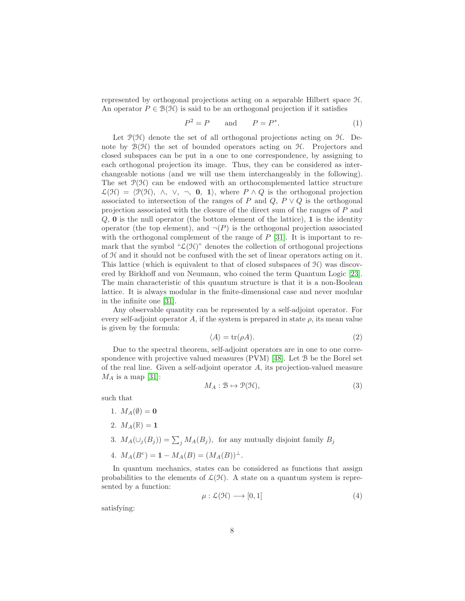represented by orthogonal projections acting on a separable Hilbert space H. An operator  $P \in \mathcal{B}(\mathcal{H})$  is said to be an orthogonal projection if it satisfies

$$
P^2 = P \qquad \text{and} \qquad P = P^*.
$$
 (1)

Let  $\mathcal{P}(\mathcal{H})$  denote the set of all orthogonal projections acting on  $\mathcal{H}$ . Denote by  $\mathcal{B}(\mathcal{H})$  the set of bounded operators acting on  $\mathcal{H}$ . Projectors and closed subspaces can be put in a one to one correspondence, by assigning to each orthogonal projection its image. Thus, they can be considered as interchangeable notions (and we will use them interchangeably in the following). The set  $\mathcal{P}(\mathcal{H})$  can be endowed with an orthocomplemented lattice structure  $\mathcal{L}(\mathcal{H}) = \langle \mathcal{P}(\mathcal{H}), \wedge, \vee, \neg, \mathbf{0}, \mathbf{1} \rangle$ , where  $P \wedge Q$  is the orthogonal projection associated to intersection of the ranges of P and Q,  $P \vee Q$  is the orthogonal projection associated with the closure of the direct sum of the ranges of P and  $Q$ , **0** is the null operator (the bottom element of the lattice), **1** is the identity operator (the top element), and  $\neg (P)$  is the orthogonal projection associated with the orthogonal complement of the range of  $P$  [\[31\]](#page-32-4). It is important to remark that the symbol " $\mathcal{L}(\mathcal{H})$ " denotes the collection of orthogonal projections of H and it should not be confused with the set of linear operators acting on it. This lattice (which is equivalent to that of closed subspaces of  $\mathcal{H}$ ) was discovered by Birkhoff and von Neumann, who coined the term Quantum Logic [\[23\]](#page-31-11). The main characteristic of this quantum structure is that it is a non-Boolean lattice. It is always modular in the finite-dimensional case and never modular in the infinite one [\[31\]](#page-32-4).

Any observable quantity can be represented by a self-adjoint operator. For every self-adjoint operator A, if the system is prepared in state  $\rho$ , its mean value is given by the formula:

$$
\langle A \rangle = \text{tr}(\rho A). \tag{2}
$$

Due to the spectral theorem, self-adjoint operators are in one to one correspondence with projective valued measures (PVM) [\[48\]](#page-33-6). Let B be the Borel set of the real line. Given a self-adjoint operator A, its projection-valued measure  $M_A$  is a map [\[31\]](#page-32-4):

$$
M_A: \mathcal{B} \mapsto \mathcal{P}(\mathcal{H}),\tag{3}
$$

such that

1.  $M_A(\emptyset) = 0$ 2.  $M_A(\mathbb{R}) = 1$ 3.  $M_A(\cup_j(B_j)) = \sum_j M_A(B_j)$ , for any mutually disjoint family  $B_j$ 4.  $M_A(B^c) = 1 - M_A(B) = (M_A(B))^{\perp}.$ 

In quantum mechanics, states can be considered as functions that assign probabilities to the elements of  $\mathcal{L}(\mathcal{H})$ . A state on a quantum system is represented by a function:

<span id="page-7-0"></span>
$$
\mu: \mathcal{L}(\mathcal{H}) \longrightarrow [0, 1] \tag{4}
$$

satisfying: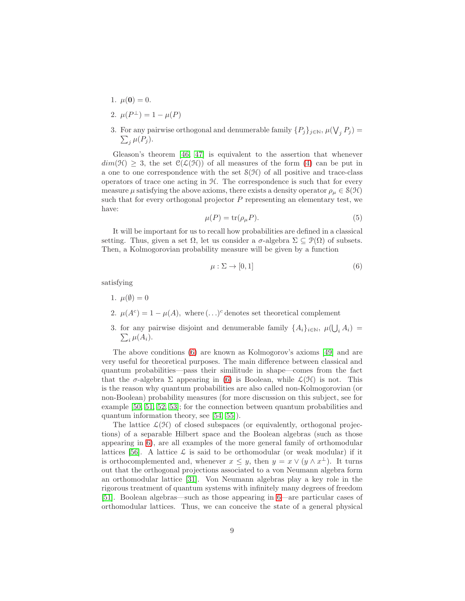- 1.  $\mu(\mathbf{0}) = 0$ .
- 2.  $\mu(P^{\perp}) = 1 \mu(P)$
- 3. For any pairwise orthogonal and denumerable family  $\{P_j\}_{j\in\mathbb{N}}$ ,  $\mu(\bigvee_j P_j)$  =  $\sum_j \mu(P_j)$ .

Gleason's theorem [\[46,](#page-33-4) [47\]](#page-33-5) is equivalent to the assertion that whenever  $dim(\mathcal{H}) \geq 3$ , the set  $\mathcal{C}(\mathcal{L}(\mathcal{H}))$  of all measures of the form [\(4\)](#page-7-0) can be put in a one to one correspondence with the set  $\mathcal{S}(\mathcal{H})$  of all positive and trace-class operators of trace one acting in H. The correspondence is such that for every measure  $\mu$  satisfying the above axioms, there exists a density operator  $\rho_{\mu} \in \mathcal{S}(\mathcal{H})$ such that for every orthogonal projector  $P$  representing an elementary test, we have:

$$
\mu(P) = \text{tr}(\rho_{\mu}P). \tag{5}
$$

It will be important for us to recall how probabilities are defined in a classical setting. Thus, given a set  $\Omega$ , let us consider a  $\sigma$ -algebra  $\Sigma \subseteq \mathcal{P}(\Omega)$  of subsets. Then, a Kolmogorovian probability measure will be given by a function

<span id="page-8-0"></span>
$$
\mu: \Sigma \to [0, 1] \tag{6}
$$

satisfying

- 1.  $\mu(\emptyset) = 0$
- 2.  $\mu(A^c) = 1 \mu(A)$ , where  $(\ldots)^c$  denotes set theoretical complement
- 3. for any pairwise disjoint and denumerable family  $\{A_i\}_{i\in\mathbb{N}}$ ,  $\mu(\bigcup_i A_i)$  =  $\sum_i \mu(A_i)$ .

The above conditions [\(6\)](#page-8-0) are known as Kolmogorov's axioms [\[49\]](#page-33-7) and are very useful for theoretical purposes. The main difference between classical and quantum probabilities—pass their similitude in shape—comes from the fact that the  $\sigma$ -algebra  $\Sigma$  appearing in [\(6\)](#page-8-0) is Boolean, while  $\mathcal{L}(\mathcal{H})$  is not. This is the reason why quantum probabilities are also called non-Kolmogorovian (or non-Boolean) probability measures (for more discussion on this subject, see for example [\[50,](#page-33-8) [51,](#page-33-9) [52,](#page-33-10) [53\]](#page-33-11); for the connection between quantum probabilities and quantum information theory, see [\[54,](#page-33-12) [55\]](#page-33-13)).

The lattice  $\mathcal{L}(\mathcal{H})$  of closed subspaces (or equivalently, orthogonal projections) of a separable Hilbert space and the Boolean algebras (such as those appearing in [6\)](#page-8-0), are all examples of the more general family of orthomodular lattices [\[56\]](#page-33-14). A lattice  $\mathcal L$  is said to be orthomodular (or weak modular) if it is orthocomplemented and, whenever  $x \leq y$ , then  $y = x \vee (y \wedge x^{\perp})$ . It turns out that the orthogonal projections associated to a von Neumann algebra form an orthomodular lattice [\[31\]](#page-32-4). Von Neumann algebras play a key role in the rigorous treatment of quantum systems with infinitely many degrees of freedom [\[51\]](#page-33-9). Boolean algebras—such as those appearing in [6—](#page-8-0)are particular cases of orthomodular lattices. Thus, we can conceive the state of a general physical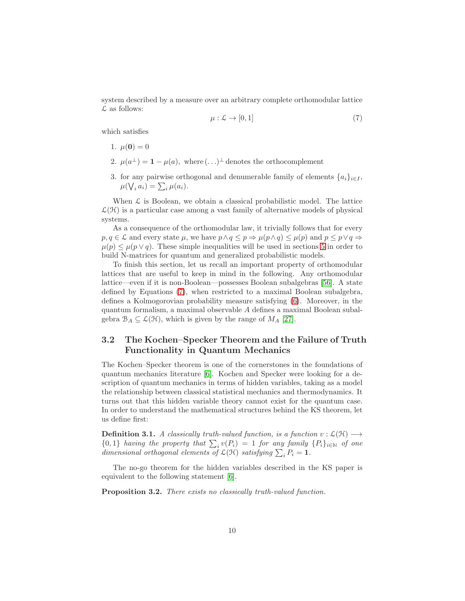system described by a measure over an arbitrary complete orthomodular lattice  $\mathcal L$  as follows:

<span id="page-9-0"></span>
$$
\mu: \mathcal{L} \to [0, 1] \tag{7}
$$

which satisfies

- 1.  $\mu(\mathbf{0}) = 0$
- 2.  $\mu(a^{\perp}) = 1 \mu(a)$ , where  $(\ldots)^{\perp}$  denotes the orthocomplement
- 3. for any pairwise orthogonal and denumerable family of elements  $\{a_i\}_{i\in I}$ ,  $\mu(\bigvee_i a_i) = \sum_i \mu(a_i).$

When  $\mathcal L$  is Boolean, we obtain a classical probabilistic model. The lattice  $\mathcal{L}(\mathcal{H})$  is a particular case among a vast family of alternative models of physical systems.

As a consequence of the orthomodular law, it trivially follows that for every  $p, q \in \mathcal{L}$  and every state  $\mu$ , we have  $p \land q \leq p \Rightarrow \mu(p \land q) \leq \mu(p)$  and  $p \leq p \lor q \Rightarrow$  $\mu(p) \leq \mu(p \vee q)$ . These simple inequalities will be used in sections [5](#page-16-0) in order to build N-matrices for quantum and generalized probabilistic models.

To finish this section, let us recall an important property of orthomodular lattices that are useful to keep in mind in the following. Any orthomodular lattice—even if it is non-Boolean—possesses Boolean subalgebras [\[56\]](#page-33-14). A state defined by Equations [\(7\)](#page-9-0), when restricted to a maximal Boolean subalgebra, defines a Kolmogorovian probability measure satisfying [\(6\)](#page-8-0). Moreover, in the quantum formalism, a maximal observable A defines a maximal Boolean subalgebra  $\mathcal{B}_A \subseteq \mathcal{L}(\mathcal{H})$ , which is given by the range of  $M_A$  [\[27\]](#page-32-0).

## 3.2 The Kochen–Specker Theorem and the Failure of Truth Functionality in Quantum Mechanics

The Kochen–Specker theorem is one of the cornerstones in the foundations of quantum mechanics literature [\[6\]](#page-30-5). Kochen and Specker were looking for a description of quantum mechanics in terms of hidden variables, taking as a model the relationship between classical statistical mechanics and thermodynamics. It turns out that this hidden variable theory cannot exist for the quantum case. In order to understand the mathematical structures behind the KS theorem, let us define first:

<span id="page-9-1"></span>**Definition 3.1.** A classically truth-valued function, is a function  $v : \mathcal{L}(\mathcal{H}) \longrightarrow$  $\{0,1\}$  having the property that  $\sum_i v(P_i) = 1$  for any family  $\{P_i\}_{i \in \mathbb{N}}$  of one dimensional orthogonal elements of  $\mathcal{L}(\mathcal{H})$  satisfying  $\sum_i P_i = 1$ .

The no-go theorem for the hidden variables described in the KS paper is equivalent to the following statement [\[6\]](#page-30-5).

<span id="page-9-2"></span>Proposition 3.2. There exists no classically truth-valued function.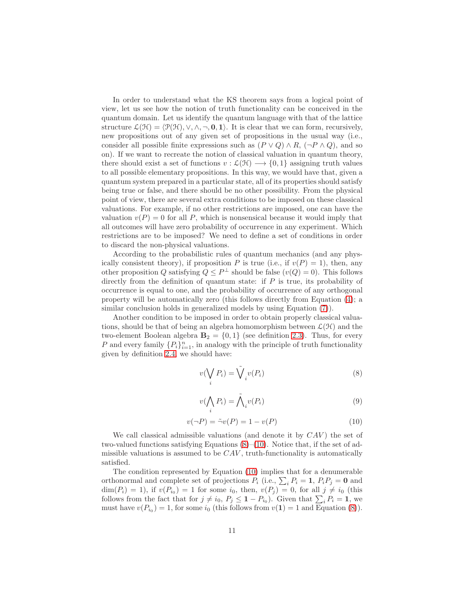In order to understand what the KS theorem says from a logical point of view, let us see how the notion of truth functionality can be conceived in the quantum domain. Let us identify the quantum language with that of the lattice structure  $\mathcal{L}(\mathcal{H}) = \langle \mathcal{P}(\mathcal{H}), \vee, \wedge, \neg, \mathbf{0}, \mathbf{1} \rangle$ . It is clear that we can form, recursively, new propositions out of any given set of propositions in the usual way (i.e., consider all possible finite expressions such as  $(P \vee Q) \wedge R$ ,  $(\neg P \wedge Q)$ , and so on). If we want to recreate the notion of classical valuation in quantum theory, there should exist a set of functions  $v : \mathcal{L}(\mathcal{H}) \longrightarrow \{0,1\}$  assigning truth values to all possible elementary propositions. In this way, we would have that, given a quantum system prepared in a particular state, all of its properties should satisfy being true or false, and there should be no other possibility. From the physical point of view, there are several extra conditions to be imposed on these classical valuations. For example, if no other restrictions are imposed, one can have the valuation  $v(P) = 0$  for all P, which is nonsensical because it would imply that all outcomes will have zero probability of occurrence in any experiment. Which restrictions are to be imposed? We need to define a set of conditions in order to discard the non-physical valuations.

According to the probabilistic rules of quantum mechanics (and any physically consistent theory), if proposition P is true (i.e., if  $v(P) = 1$ ), then, any other proposition Q satisfying  $Q \leq P^{\perp}$  should be false  $(v(Q) = 0)$ . This follows directly from the definition of quantum state: if  $P$  is true, its probability of occurrence is equal to one, and the probability of occurrence of any orthogonal property will be automatically zero (this follows directly from Equation [\(4\)](#page-7-0); a similar conclusion holds in generalized models by using Equation [\(7\)](#page-9-0)).

Another condition to be imposed in order to obtain properly classical valuations, should be that of being an algebra homomorphism between  $\mathcal{L}(\mathcal{H})$  and the two-element Boolean algebra  $\mathbf{B}_2 = \{0,1\}$  (see definition [2.3\)](#page-2-1). Thus, for every P and every family  $\{P_i\}_{i=1}^n$ , in analogy with the principle of truth functionality given by definition [2.4,](#page-3-0) we should have:

<span id="page-10-0"></span>
$$
v(\bigvee_i P_i) = \bigvee_i v(P_i)
$$
\n(8)

$$
v(\bigwedge_i P_i) = \tilde{\bigwedge}_i v(P_i) \tag{9}
$$

<span id="page-10-1"></span>
$$
v(\neg P) = \tilde{\neg}v(P) = 1 - v(P) \tag{10}
$$

We call classical admissible valuations (and denote it by  $CAV$ ) the set of two-valued functions satisfying Equations [\(8\)](#page-10-0)–[\(10\)](#page-10-1). Notice that, if the set of admissible valuations is assumed to be  $CAV$ , truth-functionality is automatically satisfied.

The condition represented by Equation [\(10\)](#page-10-1) implies that for a denumerable orthonormal and complete set of projections  $P_i$  (i.e.,  $\sum_i P_i = 1$ ,  $P_i P_j = 0$  and  $\dim(P_i) = 1$ , if  $v(P_{i_0}) = 1$  for some  $i_0$ , then,  $v(P_j) = 0$ , for all  $j \neq i_0$  (this follows from the fact that for  $j \neq i_0, P_j \leq \mathbf{1} - P_{i_0}$ . Given that  $\sum_i P_i = \mathbf{1}$ , we must have  $v(P_{i_0}) = 1$ , for some  $i_0$  (this follows from  $v(1) = 1$  and Equation [\(8\)](#page-10-0)).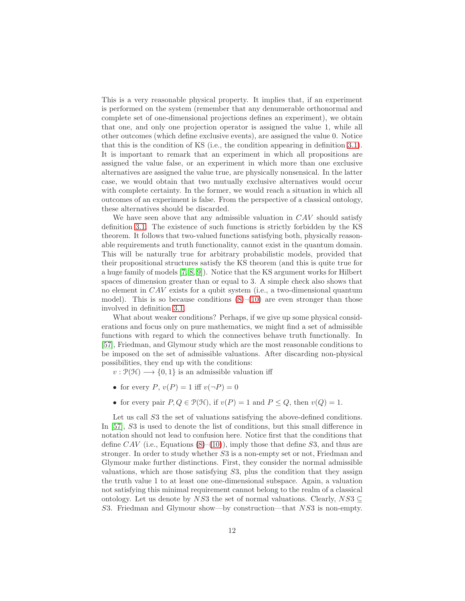This is a very reasonable physical property. It implies that, if an experiment is performed on the system (remember that any denumerable orthonormal and complete set of one-dimensional projections defines an experiment), we obtain that one, and only one projection operator is assigned the value 1, while all other outcomes (which define exclusive events), are assigned the value 0. Notice that this is the condition of KS (i.e., the condition appearing in definition [3.1\)](#page-9-1). It is important to remark that an experiment in which all propositions are assigned the value false, or an experiment in which more than one exclusive alternatives are assigned the value true, are physically nonsensical. In the latter case, we would obtain that two mutually exclusive alternatives would occur with complete certainty. In the former, we would reach a situation in which all outcomes of an experiment is false. From the perspective of a classical ontology, these alternatives should be discarded.

We have seen above that any admissible valuation in  $CAV$  should satisfy definition [3.1.](#page-9-1) The existence of such functions is strictly forbidden by the KS theorem. It follows that two-valued functions satisfying both, physically reasonable requirements and truth functionality, cannot exist in the quantum domain. This will be naturally true for arbitrary probabilistic models, provided that their propositional structures satisfy the KS theorem (and this is quite true for a huge family of models [\[7,](#page-30-6) [8,](#page-30-7) [9\]](#page-30-8)). Notice that the KS argument works for Hilbert spaces of dimension greater than or equal to 3. A simple check also shows that no element in CAV exists for a qubit system (i.e., a two-dimensional quantum model). This is so because conditions  $(8)$ – $(10)$  are even stronger than those involved in definition [3.1.](#page-9-1)

What about weaker conditions? Perhaps, if we give up some physical considerations and focus only on pure mathematics, we might find a set of admissible functions with regard to which the connectives behave truth functionally. In [\[57\]](#page-34-0), Friedman, and Glymour study which are the most reasonable conditions to be imposed on the set of admissible valuations. After discarding non-physical possibilities, they end up with the conditions:

 $v: \mathcal{P}(\mathcal{H}) \longrightarrow \{0, 1\}$  is an admissible valuation iff

- for every  $P, v(P) = 1$  iff  $v(\neg P) = 0$
- for every pair  $P, Q \in \mathcal{P}(\mathcal{H})$ , if  $v(P) = 1$  and  $P \leq Q$ , then  $v(Q) = 1$ .

Let us call  $S3$  the set of valuations satisfying the above-defined conditions. In [\[57\]](#page-34-0), S3 is used to denote the list of conditions, but this small difference in notation should not lead to confusion here. Notice first that the conditions that define CAV (i.e., Equations  $(8)-(10)$  $(8)-(10)$ ), imply those that define S3, and thus are stronger. In order to study whether S3 is a non-empty set or not, Friedman and Glymour make further distinctions. First, they consider the normal admissible valuations, which are those satisfying S3, plus the condition that they assign the truth value 1 to at least one one-dimensional subspace. Again, a valuation not satisfying this minimal requirement cannot belong to the realm of a classical ontology. Let us denote by NS3 the set of normal valuations. Clearly, NS3  $\subset$ S3. Friedman and Glymour show—by construction—that NS3 is non-empty.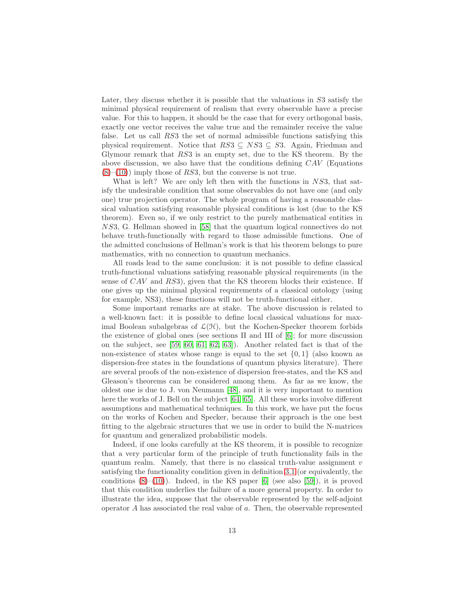Later, they discuss whether it is possible that the valuations in S3 satisfy the minimal physical requirement of realism that every observable have a precise value. For this to happen, it should be the case that for every orthogonal basis, exactly one vector receives the value true and the remainder receive the value false. Let us call RS3 the set of normal admissible functions satisfying this physical requirement. Notice that  $RS3 \subseteq NS3 \subseteq S3$ . Again, Friedman and Glymour remark that RS3 is an empty set, due to the KS theorem. By the above discussion, we also have that the conditions defining  $CAV$  (Equations  $(8)$ – $(10)$ ) imply those of RS3, but the converse is not true.

What is left? We are only left then with the functions in NS3, that satisfy the undesirable condition that some observables do not have one (and only one) true projection operator. The whole program of having a reasonable classical valuation satisfying reasonable physical conditions is lost (due to the KS theorem). Even so, if we only restrict to the purely mathematical entities in NS3, G. Hellman showed in [\[58\]](#page-34-1) that the quantum logical connectives do not behave truth-functionally with regard to those admissible functions. One of the admitted conclusions of Hellman's work is that his theorem belongs to pure mathematics, with no connection to quantum mechanics.

All roads lead to the same conclusion: it is not possible to define classical truth-functional valuations satisfying reasonable physical requirements (in the sense of CAV and RS3), given that the KS theorem blocks their existence. If one gives up the minimal physical requirements of a classical ontology (using for example, NS3), these functions will not be truth-functional either.

Some important remarks are at stake. The above discussion is related to a well-known fact: it is possible to define local classical valuations for maximal Boolean subalgebras of  $\mathcal{L}(\mathcal{H})$ , but the Kochen-Specker theorem forbids the existence of global ones (see sections II and III of [\[6\]](#page-30-5); for more discussion on the subject, see [\[59,](#page-34-2) [60,](#page-34-3) [61,](#page-34-4) [62,](#page-34-5) [63\]](#page-34-6)). Another related fact is that of the non-existence of states whose range is equal to the set  $\{0,1\}$  (also known as dispersion-free states in the foundations of quantum physics literature). There are several proofs of the non-existence of dispersion free-states, and the KS and Gleason's theorems can be considered among them. As far as we know, the oldest one is due to J. von Neumann [\[48\]](#page-33-6), and it is very important to mention here the works of J. Bell on the subject [\[64,](#page-34-7) [65\]](#page-34-8). All these works involve different assumptions and mathematical techniques. In this work, we have put the focus on the works of Kochen and Specker, because their approach is the one best fitting to the algebraic structures that we use in order to build the N-matrices for quantum and generalized probabilistic models.

Indeed, if one looks carefully at the KS theorem, it is possible to recognize that a very particular form of the principle of truth functionality fails in the quantum realm. Namely, that there is no classical truth-value assignment  $v$ satisfying the functionality condition given in definition [3.1](#page-9-1) (or equivalently, the conditions  $(8)$ – $(10)$ ). Indeed, in the KS paper [\[6\]](#page-30-5) (see also [\[59\]](#page-34-2)), it is proved that this condition underlies the failure of a more general property. In order to illustrate the idea, suppose that the observable represented by the self-adjoint operator A has associated the real value of a. Then, the observable represented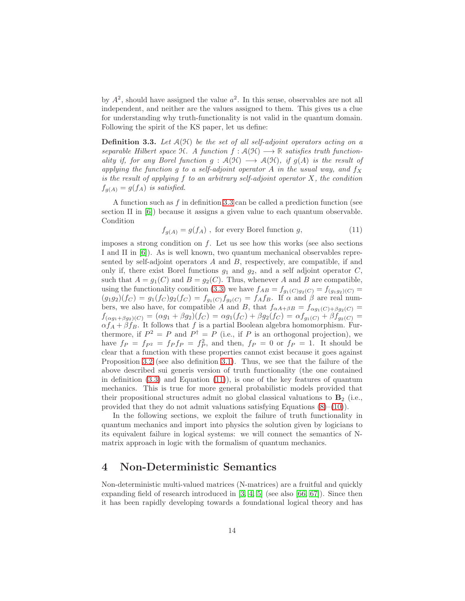by  $A^2$ , should have assigned the value  $a^2$ . In this sense, observables are not all independent, and neither are the values assigned to them. This gives us a clue for understanding why truth-functionality is not valid in the quantum domain. Following the spirit of the KS paper, let us define:

<span id="page-13-1"></span>**Definition 3.3.** Let  $A(\mathcal{H})$  be the set of all self-adjoint operators acting on a separable Hilbert space  $\mathcal{H}$ . A function  $f : \mathcal{A}(\mathcal{H}) \longrightarrow \mathbb{R}$  satisfies truth functionality if, for any Borel function  $g : A(H) \longrightarrow A(H)$ , if  $g(A)$  is the result of applying the function g to a self-adjoint operator A in the usual way, and  $f_X$ is the result of applying f to an arbitrary self-adjoint operator  $X$ , the condition  $f_{g(A)} = g(f_A)$  is satisfied.

A function such as f in definition [3.3](#page-13-1) can be called a prediction function (see section II in [\[6\]](#page-30-5)) because it assigns a given value to each quantum observable. Condition

<span id="page-13-2"></span>
$$
f_{g(A)} = g(f_A) , \text{ for every Borel function } g,
$$
\n(11)

imposes a strong condition on  $f$ . Let us see how this works (see also sections I and II in [\[6\]](#page-30-5)). As is well known, two quantum mechanical observables represented by self-adjoint operators A and B, respectively, are compatible, if and only if, there exist Borel functions  $g_1$  and  $g_2$ , and a self adjoint operator C, such that  $A = g_1(C)$  and  $B = g_2(C)$ . Thus, whenever A and B are compatible, using the functionality condition [\(3.3\)](#page-13-1) we have  $f_{AB} = f_{g_1(C)g_2(C)} = f_{(g_1g_2)(C)} =$  $(g_1g_2)(f_C) = g_1(f_C)g_2(f_C) = f_{g_1(C)}f_{g_2(C)} = f_A f_B$ . If  $\alpha$  and  $\beta$  are real numbers, we also have, for compatible A and B, that  $f_{\alpha A+\beta B} = f_{\alpha g_1(C)+\beta g_2(C)} =$  $f_{(\alpha g_1+\beta g_2)(C)} = (\alpha g_1 + \beta g_2)(f_C) = \alpha g_1(f_C) + \beta g_2(f_C) = \alpha f_{g_1(C)} + \beta f_{g_2(C)} =$  $\alpha f_A + \beta f_B$ . It follows that f is a partial Boolean algebra homomorphism. Furthermore, if  $P^2 = P$  and  $P^{\dagger} = P$  (i.e., if P is an orthogonal projection), we have  $f_P = f_{P^2} = f_P f_P = f_P^2$ , and then,  $f_P = 0$  or  $f_P = 1$ . It should be clear that a function with these properties cannot exist because it goes against Proposition [3.2](#page-9-2) (see also definition [3.1\)](#page-9-1). Thus, we see that the failure of the above described sui generis version of truth functionality (the one contained in definition  $(3.3)$  and Equation  $(11)$ ), is one of the key features of quantum mechanics. This is true for more general probabilistic models provided that their propositional structures admit no global classical valuations to  $\mathbf{B}_2$  (i.e., provided that they do not admit valuations satisfying Equations  $(8)-(10)$  $(8)-(10)$ ).

In the following sections, we exploit the failure of truth functionality in quantum mechanics and import into physics the solution given by logicians to its equivalent failure in logical systems: we will connect the semantics of Nmatrix approach in logic with the formalism of quantum mechanics.

## <span id="page-13-0"></span>4 Non-Deterministic Semantics

Non-deterministic multi-valued matrices (N-matrices) are a fruitful and quickly expanding field of research introduced in  $[3, 4, 5]$  $[3, 4, 5]$  $[3, 4, 5]$  (see also  $[66, 67]$  $[66, 67]$ ). Since then it has been rapidly developing towards a foundational logical theory and has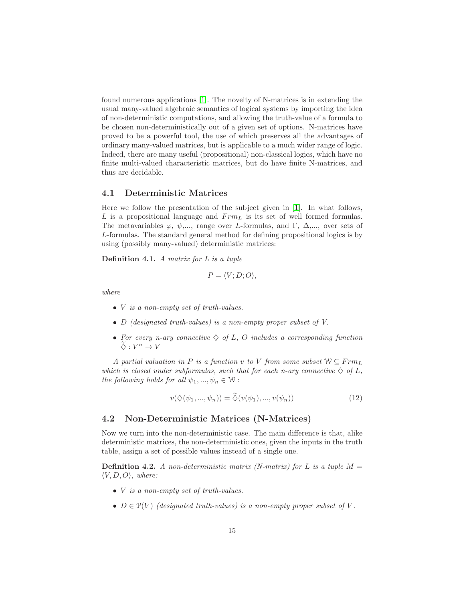found numerous applications [\[1\]](#page-30-0). The novelty of N-matrices is in extending the usual many-valued algebraic semantics of logical systems by importing the idea of non-deterministic computations, and allowing the truth-value of a formula to be chosen non-deterministically out of a given set of options. N-matrices have proved to be a powerful tool, the use of which preserves all the advantages of ordinary many-valued matrices, but is applicable to a much wider range of logic. Indeed, there are many useful (propositional) non-classical logics, which have no finite multi-valued characteristic matrices, but do have finite N-matrices, and thus are decidable.

#### 4.1 Deterministic Matrices

Here we follow the presentation of the subject given in [\[1\]](#page-30-0). In what follows,  $L$  is a propositional language and  $Frm_L$  is its set of well formed formulas. The metavariables  $\varphi$ ,  $\psi$ ,..., range over *L*-formulas, and Γ, Δ,..., over sets of L-formulas. The standard general method for defining propositional logics is by using (possibly many-valued) deterministic matrices:

Definition 4.1. A matrix for L is a tuple

$$
P = \langle V; D; O \rangle,
$$

where

- *V* is a non-empty set of truth-values.
- D (designated truth-values) is a non-empty proper subset of V.
- For every n-ary connective  $\Diamond$  of L, O includes a corresponding function  $\widetilde{\diamond} : V^n \to V$

A partial valuation in P is a function v to V from some subset  $W \subseteq Frm_L$ which is closed under subformulas, such that for each n-ary connective  $\Diamond$  of L, the following holds for all  $\psi_1, ..., \psi_n \in \mathcal{W}$ :

$$
v(\diamondsuit(\psi_1,...,\psi_n)) = \widetilde{\diamondsuit}(v(\psi_1),...,v(\psi_n))
$$
\n(12)

#### 4.2 Non-Deterministic Matrices (N-Matrices)

Now we turn into the non-deterministic case. The main difference is that, alike deterministic matrices, the non-deterministic ones, given the inputs in the truth table, assign a set of possible values instead of a single one.

**Definition 4.2.** A non-deterministic matrix (N-matrix) for L is a tuple  $M =$  $\langle V, D, O \rangle$ , where:

- *V* is a non-empty set of truth-values.
- $D \in \mathcal{P}(V)$  (designated truth-values) is a non-empty proper subset of V.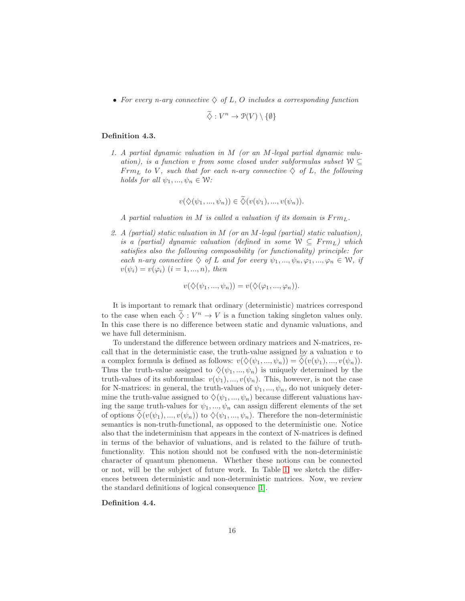• For every n-ary connective  $\Diamond$  of L, O includes a corresponding function

$$
\widetilde{\diamondsuit}: V^n \to \mathcal{P}(V) \setminus \{\emptyset\}
$$

#### Definition 4.3.

1. A partial dynamic valuation in M (or an M-legal partial dynamic valuation), is a function v from some closed under subformulas subset  $W \subseteq$  $Frm_L$  to V, such that for each n-ary connective  $\diamondsuit$  of L, the following holds for all  $\psi_1, ..., \psi_n \in \mathcal{W}$ :

$$
v(\diamondsuit(\psi_1,...,\psi_n))\in \tilde{\diamondsuit}(v(\psi_1),...,v(\psi_n)).
$$

A partial valuation in M is called a valuation if its domain is  $Frm_{L}$ .

2. A (partial) static valuation in M (or an M-legal (partial) static valuation), is a (partial) dynamic valuation (defined in some  $W \subseteq \text{Frm}_L$ ) which satisfies also the following composability (or functionality) principle: for each n-ary connective  $\Diamond$  of L and for every  $\psi_1, ..., \psi_n, \varphi_1, ..., \varphi_n \in \mathcal{W}$ , if  $v(\psi_i) = v(\varphi_i)$   $(i = 1, ..., n)$ , then

$$
v(\diamondsuit(\psi_1,...,\psi_n))=v(\diamondsuit(\varphi_1,...,\varphi_n)).
$$

It is important to remark that ordinary (deterministic) matrices correspond to the case when each  $\Diamond : V^n \to V$  is a function taking singleton values only. In this case there is no difference between static and dynamic valuations, and we have full determinism.

To understand the difference between ordinary matrices and N-matrices, recall that in the deterministic case, the truth-value assigned by a valuation  $v$  to a complex formula is defined as follows:  $v(\diamondsuit(\psi_1, ..., \psi_n)) = \diamondsuit(v(\psi_1), ..., v(\psi_n)).$ Thus the truth-value assigned to  $\Diamond(\psi_1, ..., \psi_n)$  is uniquely determined by the truth-values of its subformulas:  $v(\psi_1), ..., v(\psi_n)$ . This, however, is not the case for N-matrices: in general, the truth-values of  $\psi_1, ..., \psi_n$ , do not uniquely determine the truth-value assigned to  $\Diamond(\psi_1, ..., \psi_n)$  because different valuations having the same truth-values for  $\psi_1, ..., \psi_n$  can assign different elements of the set of options  $\Diamond(v(\psi_1),...,v(\psi_n))$  to  $\Diamond(\psi_1,...,\psi_n)$ . Therefore the non-deterministic semantics is non-truth-functional, as opposed to the deterministic one. Notice also that the indeterminism that appears in the context of N-matrices is defined in terms of the behavior of valuations, and is related to the failure of truthfunctionality. This notion should not be confused with the non-deterministic character of quantum phenomena. Whether these notions can be connected or not, will be the subject of future work. In Table [1,](#page-16-1) we sketch the differences between deterministic and non-deterministic matrices. Now, we review the standard definitions of logical consequence [\[1\]](#page-30-0).

Definition 4.4.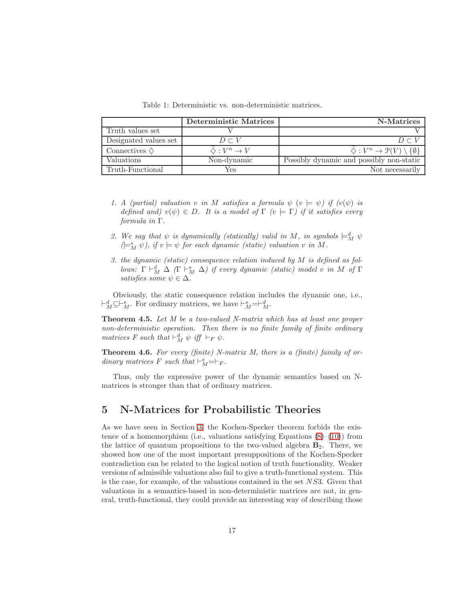<span id="page-16-1"></span>Table 1: Deterministic vs. non-deterministic matrices.

|                            | Deterministic Matrices | N-Matrices                                                     |
|----------------------------|------------------------|----------------------------------------------------------------|
| Truth values set           |                        |                                                                |
| Designated values set      | $D \subset V$          | $D \subset V$                                                  |
| Connectives $\diamondsuit$ | $\Diamond: V^n \to V$  | $\diamondsuit: V^n \to \mathcal{P}(V) \setminus \{\emptyset\}$ |
| Valuations                 | Non-dynamic            | Possibly dynamic and possibly non-static                       |
| Truth-Functional           | Yes                    | Not necessarily                                                |

- 1. A (partial) valuation v in M satisfies a formula  $\psi$   $(v \models \psi)$  if  $(v(\psi))$  is defined and)  $v(\psi) \in D$ . It is a model of  $\Gamma$  ( $v \models \Gamma$ ) if it satisfies every formula in Γ.
- 2. We say that  $\psi$  is dynamically (statically) valid in M, in symbols  $\models_M^d \psi$  $( \models_M^s \psi), \text{ if } v \models \psi \text{ for each dynamic (static) valuation } v \text{ in } M.$
- 3. the dynamic (static) consequence relation induced by M is defined as follows:  $\Gamma \vdash_M^d \Delta (\Gamma \vdash_M^s \Delta)$  if every dynamic (static) model v in M of  $\Gamma$ satisfies some  $\psi \in \Delta$ .

Obviously, the static consequence relation includes the dynamic one, i.e.,  $\vdash_M^d \subseteq \vdash_M^s$ . For ordinary matrices, we have  $\vdash_M^s = \vdash_M^d$ .

Theorem 4.5. Let M be a two-valued N-matrix which has at least one proper non-deterministic operation. Then there is no finite family of finite ordinary matrices F such that  $\vdash_M^d \psi$  iff  $\vdash_F \psi$ .

**Theorem 4.6.** For every (finite) N-matrix M, there is a (finite) family of ordinary matrices  $F$  such that  $\vdash_M^s = \vdash_F$ .

Thus, only the expressive power of the dynamic semantics based on Nmatrices is stronger than that of ordinary matrices.

# <span id="page-16-0"></span>5 N-Matrices for Probabilistic Theories

As we have seen in Section [3,](#page-6-0) the Kochen-Specker theorem forbids the existence of a homomorphism (i.e., valuations satisfying Equations  $(8)$ – $(10)$ ) from the lattice of quantum propositions to the two-valued algebra  $\mathbf{B}_2$ . There, we showed how one of the most important presuppositions of the Kochen-Specker contradiction can be related to the logical notion of truth functionality. Weaker versions of admissible valuations also fail to give a truth-functional system. This is the case, for example, of the valuations contained in the set NS3. Given that valuations in a semantics-based in non-deterministic matrices are not, in general, truth-functional, they could provide an interesting way of describing those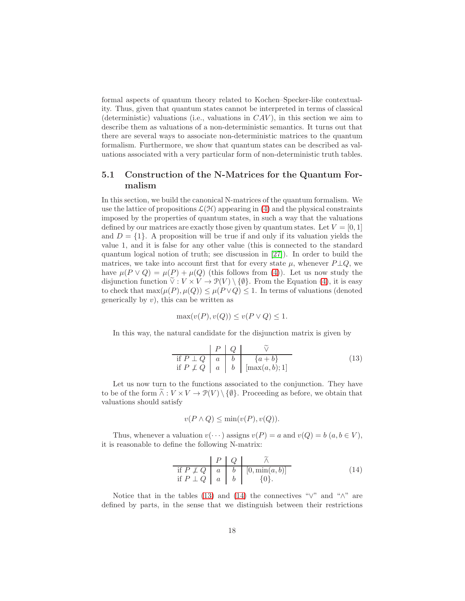formal aspects of quantum theory related to Kochen–Specker-like contextuality. Thus, given that quantum states cannot be interpreted in terms of classical (deterministic) valuations (i.e., valuations in  $CAV$ ), in this section we aim to describe them as valuations of a non-deterministic semantics. It turns out that there are several ways to associate non-deterministic matrices to the quantum formalism. Furthermore, we show that quantum states can be described as valuations associated with a very particular form of non-deterministic truth tables.

## 5.1 Construction of the N-Matrices for the Quantum Formalism

In this section, we build the canonical N-matrices of the quantum formalism. We use the lattice of propositions  $\mathcal{L}(\mathcal{H})$  appearing in [\(4\)](#page-7-0) and the physical constraints imposed by the properties of quantum states, in such a way that the valuations defined by our matrices are exactly those given by quantum states. Let  $V = [0, 1]$ and  $D = \{1\}$ . A proposition will be true if and only if its valuation yields the value 1, and it is false for any other value (this is connected to the standard quantum logical notion of truth; see discussion in [\[27\]](#page-32-0)). In order to build the matrices, we take into account first that for every state  $\mu$ , whenever  $P \perp Q$ , we have  $\mu(P \vee Q) = \mu(P) + \mu(Q)$  (this follows from [\(4\)](#page-7-0)). Let us now study the disjunction function  $\tilde{\vee}: V \times V \to \mathcal{P}(V) \setminus \{\emptyset\}$ . From the Equation [\(4\)](#page-7-0), it is easy to check that  $\max(\mu(P), \mu(Q)) \leq \mu(P \vee Q) \leq 1$ . In terms of valuations (denoted generically by  $v$ ), this can be written as

$$
\max(v(P), v(Q)) \le v(P \vee Q) \le 1.
$$

In this way, the natural candidate for the disjunction matrix is given by

<span id="page-17-0"></span>
$$
\begin{array}{c|c|c}\n & P & Q & \tilde{\vee} \\
\text{if } P \perp Q & a & b & \{a+b\} \\
\text{if } P \nsubseteq Q & a & b & [\max(a,b);1]\n\end{array} \tag{13}
$$

Let us now turn to the functions associated to the conjunction. They have to be of the form  $\widetilde{\wedge}: V \times V \to \mathcal{P}(V) \setminus \{\emptyset\}$ . Proceeding as before, we obtain that valuations should satisfy

$$
v(P \wedge Q) \le \min(v(P), v(Q)).
$$

Thus, whenever a valuation  $v(\cdots)$  assigns  $v(P) = a$  and  $v(Q) = b$   $(a, b \in V)$ , it is reasonable to define the following N-matrix:

<span id="page-17-1"></span>
$$
\begin{array}{c|c}\n & P & Q & \tilde{\wedge} \\
\text{if } P \neq Q & a & b & [0, \min(a, b)] \\
\text{if } P \perp Q & a & b & \{0\}.\n\end{array} \tag{14}
$$

Notice that in the tables [\(13\)](#page-17-0) and [\(14\)](#page-17-1) the connectives " $\vee$ " and " $\wedge$ " are defined by parts, in the sense that we distinguish between their restrictions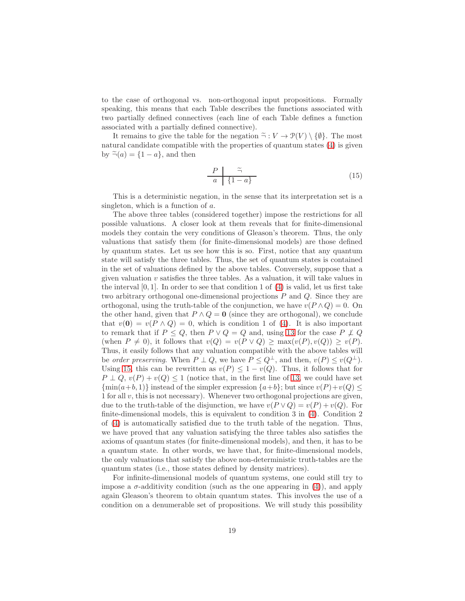to the case of orthogonal vs. non-orthogonal input propositions. Formally speaking, this means that each Table describes the functions associated with two partially defined connectives (each line of each Table defines a function associated with a partially defined connective).

It remains to give the table for the negation  $\tilde{\neg}: V \to \mathcal{P}(V) \setminus \{\emptyset\}$ . The most natural candidate compatible with the properties of quantum states [\(4\)](#page-7-0) is given by  $\tilde{\neg}(a) = \{1 - a\}$ , and then

<span id="page-18-0"></span>
$$
\begin{array}{c|c}\nP & \tilde{\neg} \\
a & \{1-a\}\n\end{array} \tag{15}
$$

This is a deterministic negation, in the sense that its interpretation set is a singleton, which is a function of a.

The above three tables (considered together) impose the restrictions for all possible valuations. A closer look at them reveals that for finite-dimensional models they contain the very conditions of Gleason's theorem. Thus, the only valuations that satisfy them (for finite-dimensional models) are those defined by quantum states. Let us see how this is so. First, notice that any quantum state will satisfy the three tables. Thus, the set of quantum states is contained in the set of valuations defined by the above tables. Conversely, suppose that a given valuation  $v$  satisfies the three tables. As a valuation, it will take values in the interval  $[0, 1]$ . In order to see that condition 1 of  $(4)$  is valid, let us first take two arbitrary orthogonal one-dimensional projections P and Q. Since they are orthogonal, using the truth-table of the conjunction, we have  $v(P \wedge Q) = 0$ . On the other hand, given that  $P \wedge Q = 0$  (since they are orthogonal), we conclude that  $v(0) = v(P \wedge Q) = 0$ , which is condition 1 of [\(4\)](#page-7-0). It is also important to remark that if  $P \leq Q$ , then  $P \vee Q = Q$  and, using [13](#page-17-0) for the case  $P \not\perp Q$ (when  $P \neq 0$ ), it follows that  $v(Q) = v(P \vee Q) \geq \max(v(P), v(Q)) \geq v(P)$ . Thus, it easily follows that any valuation compatible with the above tables will be order preserving. When  $P \perp Q$ , we have  $P \leq Q^{\perp}$ , and then,  $v(P) \leq v(Q^{\perp})$ . Using [15,](#page-18-0) this can be rewritten as  $v(P) \leq 1 - v(Q)$ . Thus, it follows that for  $P \perp Q$ ,  $v(P) + v(Q) \leq 1$  (notice that, in the first line of [13,](#page-17-0) we could have set  $\{\min(a+b, 1)\}\$  instead of the simpler expression  $\{a+b\}$ ; but since  $v(P)+v(Q) \leq$ 1 for all  $v$ , this is not necessary). Whenever two orthogonal projections are given, due to the truth-table of the disjunction, we have  $v(P \vee Q) = v(P) + v(Q)$ . For finite-dimensional models, this is equivalent to condition 3 in [\(4\)](#page-7-0). Condition 2 of [\(4\)](#page-7-0) is automatically satisfied due to the truth table of the negation. Thus, we have proved that any valuation satisfying the three tables also satisfies the axioms of quantum states (for finite-dimensional models), and then, it has to be a quantum state. In other words, we have that, for finite-dimensional models, the only valuations that satisfy the above non-deterministic truth-tables are the quantum states (i.e., those states defined by density matrices).

For infinite-dimensional models of quantum systems, one could still try to impose a  $\sigma$ -additivity condition (such as the one appearing in [\(4\)](#page-7-0)), and apply again Gleason's theorem to obtain quantum states. This involves the use of a condition on a denumerable set of propositions. We will study this possibility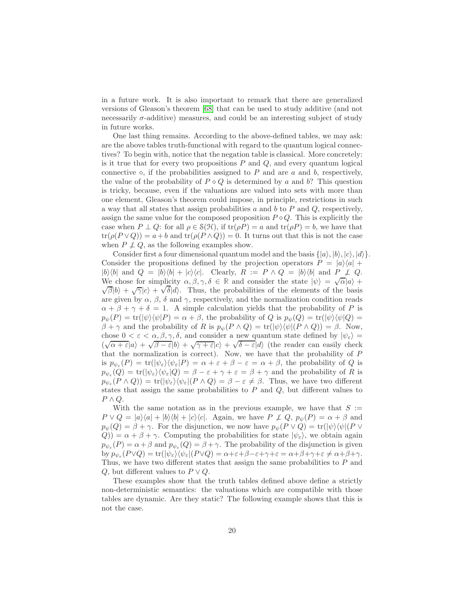in a future work. It is also important to remark that there are generalized versions of Gleason's theorem [\[68\]](#page-34-11) that can be used to study additive (and not necessarily  $\sigma$ -additive) measures, and could be an interesting subject of study in future works.

One last thing remains. According to the above-defined tables, we may ask: are the above tables truth-functional with regard to the quantum logical connectives? To begin with, notice that the negation table is classical. More concretely: is it true that for every two propositions  $P$  and  $Q$ , and every quantum logical connective  $\diamond$ , if the probabilities assigned to P and are a and b, respectively, the value of the probability of  $P \circ Q$  is determined by a and b? This question is tricky, because, even if the valuations are valued into sets with more than one element, Gleason's theorem could impose, in principle, restrictions in such a way that all states that assign probabilities  $a$  and  $b$  to  $P$  and  $Q$ , respectively, assign the same value for the composed proposition  $P \diamond Q$ . This is explicitly the case when  $P \perp Q$ : for all  $\rho \in \mathcal{S}(\mathcal{H})$ , if  $\text{tr}(\rho P) = a$  and  $\text{tr}(\rho P) = b$ , we have that  $tr(\rho(P \vee Q)) = a + b$  and  $tr(\rho(P \wedge Q)) = 0$ . It turns out that this is not the case when  $P \not\perp Q$ , as the following examples show.

Consider first a four dimensional quantum model and the basis  $\{|a\rangle, |b\rangle, |c\rangle, |d\rangle\}.$ Consider the propositions defined by the projection operators  $P = |a\rangle\langle a| +$  $|b\rangle\langle b|$  and  $Q = |b\rangle\langle b| + |c\rangle\langle c|$ . Clearly,  $R := P \wedge Q = |b\rangle\langle b|$  and  $P \not\perp Q$ . We chose for simplicity  $\alpha, \beta, \gamma, \delta \in \mathbb{R}$  and consider the state  $|\psi\rangle = \sqrt{\alpha} |a\rangle +$  $\sqrt{\beta} |b\rangle + \sqrt{\gamma} |c\rangle + \sqrt{\delta} |d\rangle$ . Thus, the probabilities of the elements of the basis are given by  $\alpha$ ,  $\beta$ ,  $\delta$  and  $\gamma$ , respectively, and the normalization condition reads  $\alpha + \beta + \gamma + \delta = 1$ . A simple calculation yields that the probability of P is  $p_{\psi}(P) = \text{tr}(|\psi\rangle\langle\psi|P) = \alpha + \beta$ , the probability of Q is  $p_{\psi}(Q) = \text{tr}(|\psi\rangle\langle\psi|Q) =$  $\beta + \gamma$  and the probability of R is  $p_{\psi}(P \wedge Q) = \text{tr}(|\psi\rangle \langle \psi|(P \wedge Q)) = \beta$ . Now, chose  $0 < \varepsilon < \alpha, \beta, \gamma, \delta$ , and consider a new quantum state defined by  $|\psi_{\varepsilon}\rangle =$ ( $\sqrt{\alpha + \varepsilon} |a\rangle + \sqrt{\beta - \varepsilon} |b\rangle + \sqrt{\gamma + \varepsilon} |c\rangle + \sqrt{\delta - \varepsilon} |d\rangle$  (the reader can easily check that the normalization is correct). Now, we have that the probability of P is  $p_{\psi_{\varepsilon}}(P) = \text{tr}(|\psi_{\varepsilon}\rangle \langle \psi_{\varepsilon}|P) = \alpha + \varepsilon + \beta - \varepsilon = \alpha + \beta$ , the probability of Q is  $p_{\psi_{\varepsilon}}(Q) = \text{tr}(|\psi_{\varepsilon}\rangle \langle \psi_{\varepsilon}|Q) = \beta - \varepsilon + \gamma + \varepsilon = \beta + \gamma$  and the probability of R is  $p_{\psi_{\varepsilon}}(P \wedge Q) = \text{tr}(|\psi_{\varepsilon}\rangle \langle \psi_{\varepsilon}|(P \wedge Q) = \beta - \varepsilon \neq \beta$ . Thus, we have two different states that assign the same probabilities to  $P$  and  $Q$ , but different values to  $P \wedge Q$ .

With the same notation as in the previous example, we have that  $S :=$  $P \vee Q = |a\rangle\langle a| + |b\rangle\langle b| + |c\rangle\langle c|$ . Again, we have  $P \nsubseteq Q$ ,  $p_{\psi}(P) = \alpha + \beta$  and  $p_{\psi}(Q) = \beta + \gamma$ . For the disjunction, we now have  $p_{\psi}(P \vee Q) = \text{tr}(|\psi\rangle\langle\psi|(P \vee Q))$  $(Q)$ ) =  $\alpha + \beta + \gamma$ . Computing the probabilities for state  $|\psi_{\varepsilon}\rangle$ , we obtain again  $p_{\psi_{\varepsilon}}(P) = \alpha + \beta$  and  $p_{\psi_{\varepsilon}}(Q) = \beta + \gamma$ . The probability of the disjunction is given by  $p_{\psi_{\varepsilon}}(P \vee Q) = \text{tr}(|\psi_{\varepsilon}\rangle \langle \psi_{\varepsilon}|(P \vee Q) = \alpha + \varepsilon + \beta - \varepsilon + \gamma + \varepsilon = \alpha + \beta + \gamma + \varepsilon \neq \alpha + \beta + \gamma.$ Thus, we have two different states that assign the same probabilities to P and Q, but different values to  $P \vee Q$ .

These examples show that the truth tables defined above define a strictly non-deterministic semantics: the valuations which are compatible with those tables are dynamic. Are they static? The following example shows that this is not the case.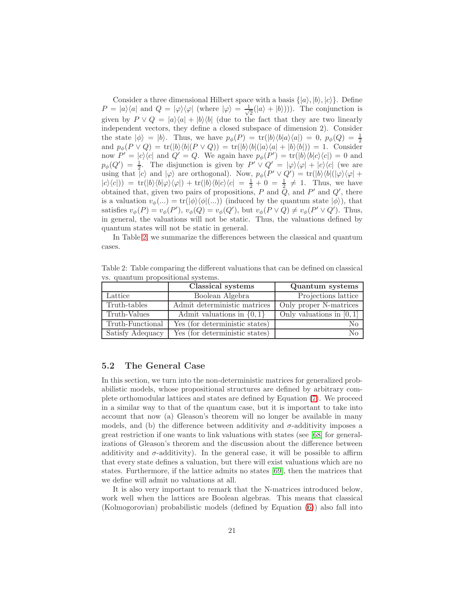Consider a three dimensional Hilbert space with a basis  $\{|a\rangle, |b\rangle, |c\rangle\}$ . Define  $P = |a\rangle\langle a|$  and  $Q = |\varphi\rangle\langle\varphi|$  (where  $|\varphi\rangle = \frac{1}{\sqrt{2\pi}}$  $\frac{1}{2}(|a\rangle + |b\rangle))$ . The conjunction is given by  $P \vee Q = |a\rangle\langle a| + |b\rangle\langle b|$  (due to the fact that they are two linearly independent vectors, they define a closed subspace of dimension 2). Consider the state  $|\phi\rangle = |b\rangle$ . Thus, we have  $p_{\phi}(P) = \text{tr}(|b\rangle\langle b|a\rangle\langle a|) = 0$ ,  $p_{\phi}(Q) = \frac{1}{2}$ and  $p_{\phi}(P \vee Q) = \text{tr}(|b\rangle\langle b|(P \vee Q)) = \text{tr}(|b\rangle\langle b|(a\rangle\langle a| + |b\rangle\langle b|)) = 1$ . Consider now  $P' = |c\rangle\langle c|$  and  $Q' = Q$ . We again have  $p_{\phi}(P') = \text{tr}(|b\rangle\langle b|c\rangle\langle c|) = 0$  and  $p_{\phi}(Q') = \frac{1}{2}$ . The disjunction is given by  $P' \vee Q' = |\varphi\rangle\langle\varphi| + |c\rangle\langle c|$  (we are using that  $|c\rangle$  and  $|\varphi\rangle$  are orthogonal). Now,  $p_{\phi}(P' \vee Q') = \text{tr}(|b\rangle\langle b|(|\varphi\rangle\langle\varphi| +$  $|c\rangle\langle c|$ ) = tr( $|b\rangle\langle b|\varphi\rangle\langle\varphi|$ ) + tr( $|b\rangle\langle b|c\rangle\langle c| = \frac{1}{2} + 0 = \frac{1}{2} \neq 1$ . Thus, we have obtained that, given two pairs of propositions,  $P$  and  $Q$ , and  $P'$  and  $Q'$ , there is a valuation  $v_{\phi}(...)=\text{tr}(|\phi\rangle\langle\phi|(...))$  (induced by the quantum state  $|\phi\rangle$ ), that satisfies  $v_{\phi}(P) = v_{\phi}(P')$ ,  $v_{\phi}(Q) = v_{\phi}(Q')$ , but  $v_{\phi}(P \vee Q) \neq v_{\phi}(P' \vee Q')$ . Thus, in general, the valuations will not be static. Thus, the valuations defined by quantum states will not be static in general.

In Table [2,](#page-20-0) we summarize the differences between the classical and quantum cases.

<span id="page-20-0"></span>Table 2: Table comparing the different valuations that can be defined on classical vs. quantum propositional systems.

|                  | Classical systems              | Quantum systems             |
|------------------|--------------------------------|-----------------------------|
| Lattice          | Boolean Algebra                | Projections lattice         |
| Truth-tables     | Admit deterministic matrices   | Only proper N-matrices      |
| Truth-Values     | Admit valuations in $\{0,1\}$  | Only valuations in $[0, 1]$ |
| Truth-Functional | Yes (for deterministic states) | Nο                          |
| Satisfy Adequacy | Yes (for deterministic states) | No                          |

#### 5.2 The General Case

In this section, we turn into the non-deterministic matrices for generalized probabilistic models, whose propositional structures are defined by arbitrary complete orthomodular lattices and states are defined by Equation [\(7\)](#page-9-0). We proceed in a similar way to that of the quantum case, but it is important to take into account that now (a) Gleason's theorem will no longer be available in many models, and (b) the difference between additivity and  $\sigma$ -additivity imposes a great restriction if one wants to link valuations with states (see [\[68\]](#page-34-11) for generalizations of Gleason's theorem and the discussion about the difference between additivity and  $\sigma$ -additivity). In the general case, it will be possible to affirm that every state defines a valuation, but there will exist valuations which are no states. Furthermore, if the lattice admits no states [\[69\]](#page-34-12), then the matrices that we define will admit no valuations at all.

It is also very important to remark that the N-matrices introduced below, work well when the lattices are Boolean algebras. This means that classical (Kolmogorovian) probabilistic models (defined by Equation [\(6\)](#page-8-0)) also fall into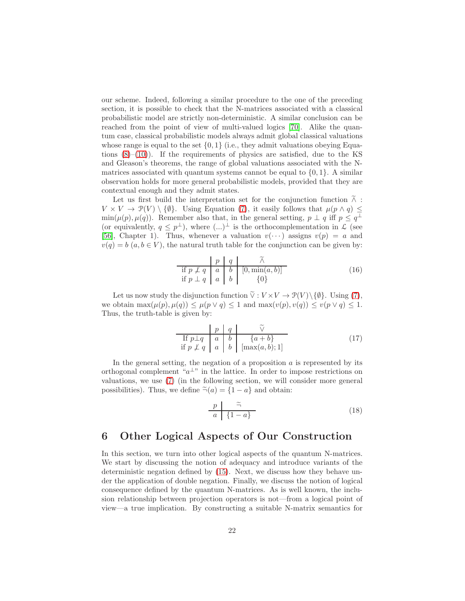our scheme. Indeed, following a similar procedure to the one of the preceding section, it is possible to check that the N-matrices associated with a classical probabilistic model are strictly non-deterministic. A similar conclusion can be reached from the point of view of multi-valued logics [\[70\]](#page-35-0). Alike the quantum case, classical probabilistic models always admit global classical valuations whose range is equal to the set  $\{0, 1\}$  (i.e., they admit valuations obeying Equations  $(8)$ – $(10)$ ). If the requirements of physics are satisfied, due to the KS and Gleason's theorems, the range of global valuations associated with the Nmatrices associated with quantum systems cannot be equal to  $\{0, 1\}$ . A similar observation holds for more general probabilistic models, provided that they are contextual enough and they admit states.

Let us first build the interpretation set for the conjunction function  $\tilde{\wedge}$ :  $V \times V \to \mathcal{P}(V) \setminus \{\emptyset\}.$  Using Equation [\(7\)](#page-9-0), it easily follows that  $\mu(p \wedge q) \leq$  $min(\mu(p), \mu(q))$ . Remember also that, in the general setting,  $p \perp q$  iff  $p \leq q^{\perp}$ (or equivalently,  $q \leq p^{\perp}$ ), where  $(\ldots)^{\perp}$  is the orthocomplementation in  $\mathcal{L}$  (see [\[56\]](#page-33-14), Chapter 1). Thus, whenever a valuation  $v(\cdots)$  assigns  $v(p) = a$  and  $v(q) = b$   $(a, b \in V)$ , the natural truth table for the conjunction can be given by:

<span id="page-21-2"></span>
$$
\frac{|p|}{\text{if } p \neq q} \begin{array}{c|c} |p| & q & \tilde{\land} \\ \hline a & b & [0, \min(a, b)] \\ \text{if } p \perp q & a & b \end{array} \tag{16}
$$

Let us now study the disjunction function  $\tilde{\vee}: V \times V \to \mathcal{P}(V) \setminus \{\emptyset\}$ . Using [\(7\)](#page-9-0), we obtain  $\max(\mu(p), \mu(q)) \leq \mu(p \vee q) \leq 1$  and  $\max(v(p), v(q)) \leq v(p \vee q) \leq 1$ . Thus, the truth-table is given by:

<span id="page-21-1"></span>
$$
\begin{array}{c|c|c}\n & p & q & \tilde{\vee} \\
\hline\n\text{If } p \perp q & a & b & \{a+b\} \\
\text{if } p \not\perp q & a & b & \left[\max(a,b);1\right]\n\end{array} \tag{17}
$$

In the general setting, the negation of a proposition  $\alpha$  is represented by its orthogonal complement " $a^{\perp}$ " in the lattice. In order to impose restrictions on valuations, we use [\(7\)](#page-9-0) (in the following section, we will consider more general possibilities). Thus, we define  $\tilde{\neg}(a) = \{1 - a\}$  and obtain:

<span id="page-21-3"></span>
$$
\begin{array}{c|c}\np & \tilde{=} \\
a & \{1-a\}\n\end{array} \tag{18}
$$

## <span id="page-21-0"></span>6 Other Logical Aspects of Our Construction

In this section, we turn into other logical aspects of the quantum N-matrices. We start by discussing the notion of adequacy and introduce variants of the deterministic negation defined by [\(15\)](#page-18-0). Next, we discuss how they behave under the application of double negation. Finally, we discuss the notion of logical consequence defined by the quantum N-matrices. As is well known, the inclusion relationship between projection operators is not—from a logical point of view—a true implication. By constructing a suitable N-matrix semantics for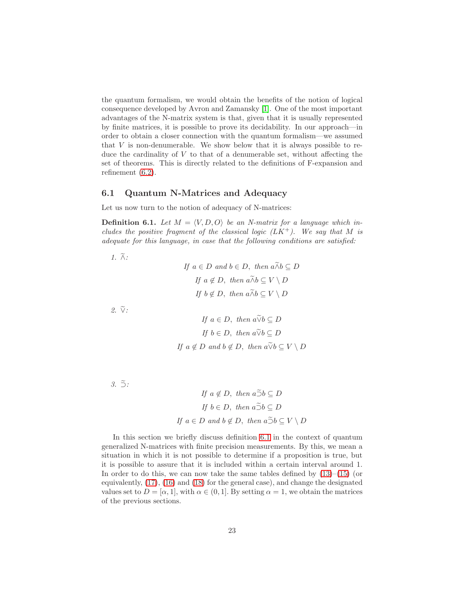the quantum formalism, we would obtain the benefits of the notion of logical consequence developed by Avron and Zamansky [\[1\]](#page-30-0). One of the most important advantages of the N-matrix system is that, given that it is usually represented by finite matrices, it is possible to prove its decidability. In our approach—in order to obtain a closer connection with the quantum formalism—we assumed that  $V$  is non-denumerable. We show below that it is always possible to reduce the cardinality of  $V$  to that of a denumerable set, without affecting the set of theorems. This is directly related to the definitions of F-expansion and refinement [\(6.2\)](#page-26-0).

#### 6.1 Quantum N-Matrices and Adequacy

Let us now turn to the notion of adequacy of N-matrices:

<span id="page-22-0"></span>**Definition 6.1.** Let  $M = \langle V, D, O \rangle$  be an N-matrix for a language which includes the positive fragment of the classical logic  $(LK^+)$ . We say that M is adequate for this language, in case that the following conditions are satisfied:

1.  $\widetilde{\wedge}$ :

If 
$$
a \in D
$$
 and  $b \in D$ , then  $a \widetilde{\wedge} b \subseteq D$   
\nIf  $a \notin D$ , then  $a \widetilde{\wedge} b \subseteq V \setminus D$   
\nIf  $b \notin D$ , then  $a \widetilde{\wedge} b \subseteq V \setminus D$ 

 $2. \ \tilde{\vee}$ :

$$
If \ a \in D, \ then \ a \widetilde{\vee} b \subseteq D
$$
\n
$$
If \ b \in D, \ then \ a \widetilde{\vee} b \subseteq D
$$
\n
$$
If \ a \notin D \ and \ b \notin D, \ then \ a \widetilde{\vee} b \subseteq V \setminus D
$$

 $3.5$ :

$$
If \ a \notin D, \ then \ a \tilde{\supset} b \subseteq D
$$
\n
$$
If \ b \in D, \ then \ a \tilde{\supset} b \subseteq D
$$
\n
$$
If \ a \in D \ and \ b \notin D, \ then \ a \tilde{\supset} b \subseteq V \setminus D
$$

In this section we briefly discuss definition [6.1](#page-22-0) in the context of quantum generalized N-matrices with finite precision measurements. By this, we mean a situation in which it is not possible to determine if a proposition is true, but it is possible to assure that it is included within a certain interval around 1. In order to do this, we can now take the same tables defined by  $(13)$ – $(15)$  (or equivalently, [\(17\)](#page-21-1), [\(16\)](#page-21-2) and [\(18\)](#page-21-3) for the general case), and change the designated values set to  $D = [\alpha, 1]$ , with  $\alpha \in (0, 1]$ . By setting  $\alpha = 1$ , we obtain the matrices of the previous sections.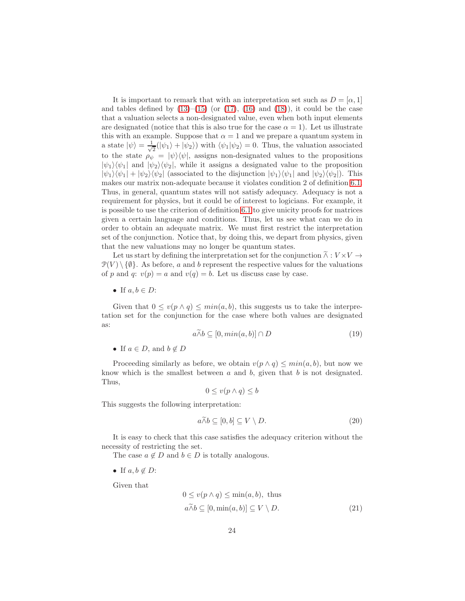It is important to remark that with an interpretation set such as  $D = [\alpha, 1]$ and tables defined by  $(13)$ – $(15)$  (or  $(17)$ ,  $(16)$  and  $(18)$ ), it could be the case that a valuation selects a non-designated value, even when both input elements are designated (notice that this is also true for the case  $\alpha = 1$ ). Let us illustrate this with an example. Suppose that  $\alpha = 1$  and we prepare a quantum system in a state  $|\psi\rangle = \frac{1}{\sqrt{2}}$  $\frac{1}{2}(|\psi_1\rangle + |\psi_2\rangle)$  with  $\langle \psi_1 | \psi_2 \rangle = 0$ . Thus, the valuation associated to the state  $\rho_{\psi} = |\psi\rangle\langle\psi|$ , assigns non-designated values to the propositions  $|\psi_1\rangle\langle\psi_1|$  and  $|\psi_2\rangle\langle\psi_2|$ , while it assigns a designated value to the proposition  $|\psi_1\rangle\langle\psi_1| + |\psi_2\rangle\langle\psi_2|$  (associated to the disjunction  $|\psi_1\rangle\langle\psi_1|$  and  $|\psi_2\rangle\langle\psi_2|$ ). This makes our matrix non-adequate because it violates condition 2 of definition [6.1.](#page-22-0) Thus, in general, quantum states will not satisfy adequacy. Adequacy is not a requirement for physics, but it could be of interest to logicians. For example, it is possible to use the criterion of definition [6.1](#page-22-0) to give unicity proofs for matrices given a certain language and conditions. Thus, let us see what can we do in order to obtain an adequate matrix. We must first restrict the interpretation set of the conjunction. Notice that, by doing this, we depart from physics, given that the new valuations may no longer be quantum states.

Let us start by defining the interpretation set for the conjunction  $\widetilde{\wedge}: V \times V \rightarrow$  $\mathcal{P}(V) \setminus \{\emptyset\}$ . As before, a and b represent the respective values for the valuations of p and q:  $v(p) = a$  and  $v(q) = b$ . Let us discuss case by case.

• If  $a, b \in D$ :

Given that  $0 \le v(p \wedge q) \le min(a, b)$ , this suggests us to take the interpretation set for the conjunction for the case where both values are designated as:

$$
a \wedge b \subseteq [0, \min(a, b)] \cap D \tag{19}
$$

• If  $a \in D$ , and  $b \notin D$ 

Proceeding similarly as before, we obtain  $v(p \wedge q) \leq min(a, b)$ , but now we know which is the smallest between  $a$  and  $b$ , given that  $b$  is not designated. Thus,

$$
0 \le v(p \wedge q) \le b
$$

This suggests the following interpretation:

$$
a \tilde{\wedge} b \subseteq [0, b] \subseteq V \setminus D. \tag{20}
$$

It is easy to check that this case satisfies the adequacy criterion without the necessity of restricting the set.

The case  $a \notin D$  and  $b \in D$  is totally analogous.

• If  $a, b \notin D$ :

Given that

$$
0 \le v(p \land q) \le \min(a, b), \text{ thus}
$$
  

$$
a \widetilde{\land} b \subseteq [0, \min(a, b)] \subseteq V \setminus D.
$$
 (21)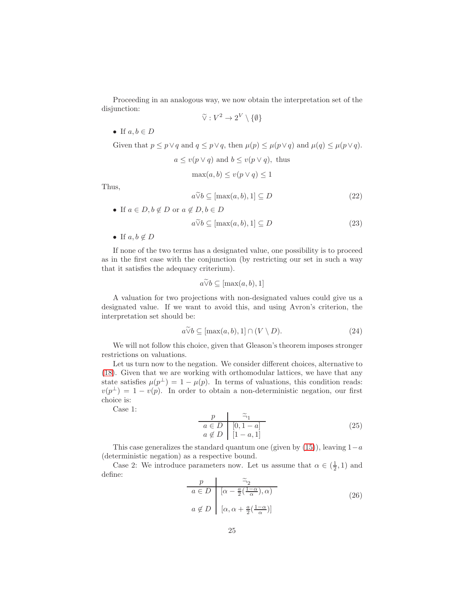Proceeding in an analogous way, we now obtain the interpretation set of the disjunction:

$$
\widetilde{\vee}: V^2 \to 2^V \setminus \{\emptyset\}
$$

• If  $a, b \in D$ 

Given that  $p \leq p \vee q$  and  $q \leq p \vee q$ , then  $\mu(p) \leq \mu(p \vee q)$  and  $\mu(q) \leq \mu(p \vee q)$ .

$$
a \le v(p \lor q)
$$
 and  $b \le v(p \lor q)$ , thus  
\n
$$
\max(a, b) \le v(p \lor q) \le 1
$$

Thus,

$$
a\widetilde{\vee}b \subseteq [\max(a,b),1] \subseteq D \tag{22}
$$

• If  $a \in D$ ,  $b \notin D$  or  $a \notin D$ ,  $b \in D$ 

$$
a\widetilde{\vee}b \subseteq [\max(a,b),1] \subseteq D \tag{23}
$$

• If  $a, b \notin D$ 

If none of the two terms has a designated value, one possibility is to proceed as in the first case with the conjunction (by restricting our set in such a way that it satisfies the adequacy criterium).

$$
a\widetilde{\vee}b \subseteq [\max(a,b),1]
$$

A valuation for two projections with non-designated values could give us a designated value. If we want to avoid this, and using Avron's criterion, the interpretation set should be:

$$
a\widetilde{\vee}b \subseteq [\max(a,b),1] \cap (V \setminus D). \tag{24}
$$

We will not follow this choice, given that Gleason's theorem imposes stronger restrictions on valuations.

Let us turn now to the negation. We consider different choices, alternative to [\(18\)](#page-21-3). Given that we are working with orthomodular lattices, we have that any state satisfies  $\mu(p^{\perp}) = 1 - \mu(p)$ . In terms of valuations, this condition reads:  $v(p^{\perp}) = 1 - v(p)$ . In order to obtain a non-deterministic negation, our first choice is:

Case 1:

<span id="page-24-0"></span>
$$
\begin{array}{c|c}\np & \tilde{\neg}_1 \\
a \in D & [0, 1 - a] \\
a \notin D & [1 - a, 1]\n\end{array} \tag{25}
$$

This case generalizes the standard quantum one (given by  $(15)$ ), leaving  $1-a$ (deterministic negation) as a respective bound.

Case 2: We introduce parameters now. Let us assume that  $\alpha \in (\frac{1}{2}, 1)$  and define:

<span id="page-24-1"></span>
$$
\begin{array}{c}\np \\
a \in D \quad [\alpha - \frac{a}{2}(\frac{1-\alpha}{\alpha}), \alpha) \\
a \notin D \quad [\alpha, \alpha + \frac{a}{2}(\frac{1-\alpha}{\alpha})]\n\end{array} \tag{26}
$$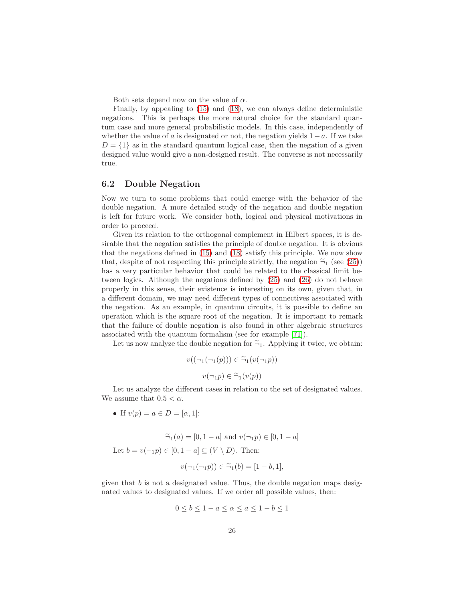Both sets depend now on the value of  $\alpha$ .

Finally, by appealing to [\(15\)](#page-18-0) and [\(18\)](#page-21-3), we can always define deterministic negations. This is perhaps the more natural choice for the standard quantum case and more general probabilistic models. In this case, independently of whether the value of a is designated or not, the negation yields  $1-a$ . If we take  $D = \{1\}$  as in the standard quantum logical case, then the negation of a given designed value would give a non-designed result. The converse is not necessarily true.

#### 6.2 Double Negation

Now we turn to some problems that could emerge with the behavior of the double negation. A more detailed study of the negation and double negation is left for future work. We consider both, logical and physical motivations in order to proceed.

Given its relation to the orthogonal complement in Hilbert spaces, it is desirable that the negation satisfies the principle of double negation. It is obvious that the negations defined in [\(15\)](#page-18-0) and [\(18\)](#page-21-3) satisfy this principle. We now show that, despite of not respecting this principle strictly, the negation  $\tilde{\Xi}_1$  (see [\(25\)](#page-24-0)) has a very particular behavior that could be related to the classical limit between logics. Although the negations defined by [\(25\)](#page-24-0) and [\(26\)](#page-24-1) do not behave properly in this sense, their existence is interesting on its own, given that, in a different domain, we may need different types of connectives associated with the negation. As an example, in quantum circuits, it is possible to define an operation which is the square root of the negation. It is important to remark that the failure of double negation is also found in other algebraic structures associated with the quantum formalism (see for example [\[71\]](#page-35-1)).

Let us now analyze the double negation for  $\tilde{\neg}_1$ . Applying it twice, we obtain:

$$
v((\neg_1(\neg_1(p))) \in \widetilde{\neg}_1(v(\neg_1 p))
$$

$$
v(\neg_1 p) \in \widetilde{\neg}_1(v(p))
$$

Let us analyze the different cases in relation to the set of designated values. We assume that  $0.5 < \alpha$ .

• If  $v(p) = a \in D = [\alpha, 1]$ :

 $\tilde{=}_1(a) = [0, 1 - a]$  and  $v(\neg_1 p) \in [0, 1 - a]$ Let  $b = v(\neg_1 p) \in [0, 1 - a] \subseteq (V \setminus D)$ . Then:

$$
v(\neg_1(\neg_1 p)) \in \widetilde{\neg}_1(b) = [1-b,1],
$$

given that  $b$  is not a designated value. Thus, the double negation maps designated values to designated values. If we order all possible values, then:

$$
0 \le b \le 1 - a \le \alpha \le a \le 1 - b \le 1
$$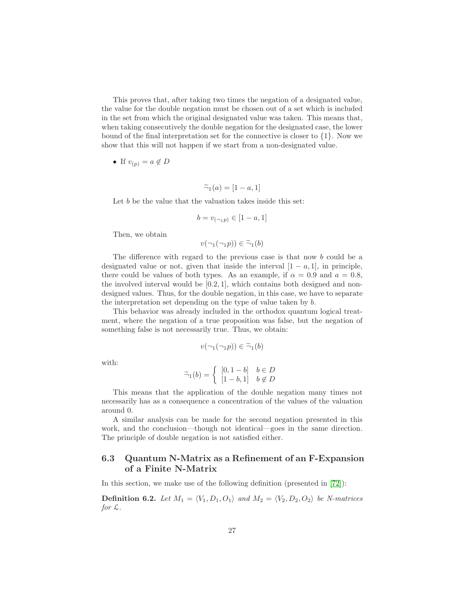This proves that, after taking two times the negation of a designated value, the value for the double negation must be chosen out of a set which is included in the set from which the original designated value was taken. This means that, when taking consecutively the double negation for the designated case, the lower bound of the final interpretation set for the connective is closer to  $\{1\}$ . Now we show that this will not happen if we start from a non-designated value.

• If 
$$
v_{(p)} = a \notin D
$$

$$
\widetilde{\neg}_1(a) = [1 - a, 1]
$$

Let b be the value that the valuation takes inside this set:

$$
b = v_{(\neg p)} \in [1 - a, 1]
$$

Then, we obtain

 $v(\neg_1(\neg_1p)) \in \widetilde{\neg}_1(b)$ 

The difference with regard to the previous case is that now b could be a designated value or not, given that inside the interval  $[1 - a, 1]$ , in principle, there could be values of both types. As an example, if  $\alpha = 0.9$  and  $a = 0.8$ , the involved interval would be  $[0.2, 1]$ , which contains both designed and nondesigned values. Thus, for the double negation, in this case, we have to separate the interpretation set depending on the type of value taken by b.

This behavior was already included in the orthodox quantum logical treatment, where the negation of a true proposition was false, but the negation of something false is not necessarily true. Thus, we obtain:

$$
v(\neg_1(\neg_1 p)) \in \widetilde{\neg}_1(b)
$$

with:

$$
\widetilde{\neg}_1(b) = \begin{cases} [0, 1-b] & b \in D \\ [1-b, 1] & b \notin D \end{cases}
$$

This means that the application of the double negation many times not necessarily has as a consequence a concentration of the values of the valuation around 0.

A similar analysis can be made for the second negation presented in this work, and the conclusion—though not identical—goes in the same direction. The principle of double negation is not satisfied either.

### 6.3 Quantum N-Matrix as a Refinement of an F-Expansion of a Finite N-Matrix

In this section, we make use of the following definition (presented in [\[72\]](#page-35-2)):

<span id="page-26-0"></span>**Definition 6.2.** Let  $M_1 = \langle V_1, D_1, O_1 \rangle$  and  $M_2 = \langle V_2, D_2, O_2 \rangle$  be N-matrices for  $\mathcal{L}$ .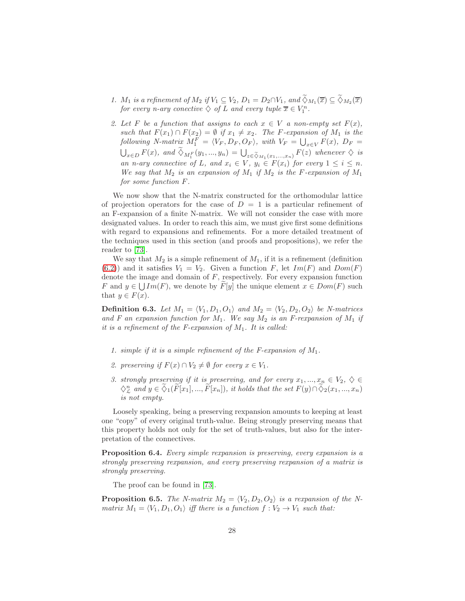- 1.  $M_1$  is a refinement of  $M_2$  if  $V_1 \subseteq V_2$ ,  $D_1 = D_2 \cap V_1$ , and  $\Diamond_{M_1}(\overline{x}) \subseteq \Diamond_{M_2}(\overline{x})$ for every n-ary conective  $\diamondsuit$  of L and every tuple  $\overline{x} \in V_1^n$ .
- 2. Let F be a function that assigns to each  $x \in V$  a non-empty set  $F(x)$ , such that  $F(x_1) \cap F(x_2) = \emptyset$  if  $x_1 \neq x_2$ . The F-expansion of  $M_1$  is the following N-matrix  $M_1^F = \langle V_F, D_F, O_F \rangle$ , with  $V_F = \bigcup_{x \in V} F(x)$ ,  $D_F =$  $\bigcup_{x\in D} F(x)$ , and  $\widetilde{\diamond}_{M_1^F}(y_1,...,y_n) = \bigcup_{z\in\widetilde{\diamond}_{M_1}(x_1,...,x_n)} F(z)$  whenever  $\diamondsuit$  is an n-ary connective of L, and  $x_i \in V$ ,  $y_i \in F(x_i)$  for every  $1 \leq i \leq n$ . We say that  $M_2$  is an expansion of  $M_1$  if  $M_2$  is the F-expansion of  $M_1$ for some function F.

We now show that the N-matrix constructed for the orthomodular lattice of projection operators for the case of  $D = 1$  is a particular refinement of an F-expansion of a finite N-matrix. We will not consider the case with more designated values. In order to reach this aim, we must give first some definitions with regard to expansions and refinements. For a more detailed treatment of the techniques used in this section (and proofs and propositions), we refer the reader to [73].

We say that  $M_2$  is a simple refinement of  $M_1$ , if it is a refinement (definition [\(6.2\)](#page-26-0)) and it satisfies  $V_1 = V_2$ . Given a function F, let  $Im(F)$  and  $Dom(F)$ denote the image and domain of  $F$ , respectively. For every expansion function F and  $y \in \bigcup Im(F)$ , we denote by  $\widetilde{F}[y]$  the unique element  $x \in Dom(F)$  such that  $y \in F(x)$ .

**Definition 6.3.** Let  $M_1 = \langle V_1, D_1, O_1 \rangle$  and  $M_2 = \langle V_2, D_2, O_2 \rangle$  be N-matrices and F an expansion function for  $M_1$ . We say  $M_2$  is an F-rexpansion of  $M_1$  if it is a refinement of the F-expansion of  $M_1$ . It is called:

- 1. simple if it is a simple refinement of the F-expansion of  $M_1$ .
- 2. preserving if  $F(x) \cap V_2 \neq \emptyset$  for every  $x \in V_1$ .
- 3. strongly preserving if it is preserving, and for every  $x_1, ..., x_n \in V_2$ ,  $\diamondsuit \in$  $\Diamond_{\mathcal{L}}^n$  and  $y \in \Diamond_1(\widetilde{F}[x_1],...,\widetilde{F}[x_n]),$  it holds that the set  $F(y) \cap \Diamond_2(x_1,...,x_n)$ is not empty.

Loosely speaking, being a preserving rexpansion amounts to keeping at least one "copy" of every original truth-value. Being strongly preserving means that this property holds not only for the set of truth-values, but also for the interpretation of the connectives.

Proposition 6.4. Every simple rexpansion is preserving, every expansion is a strongly preserving rexpansion, and every preserving rexpansion of a matrix is strongly preserving.

The proof can be found in [73].

<span id="page-27-0"></span>**Proposition 6.5.** The N-matrix  $M_2 = \langle V_2, D_2, O_2 \rangle$  is a rexpansion of the Nmatrix  $M_1 = \langle V_1, D_1, O_1 \rangle$  iff there is a function  $f : V_2 \to V_1$  such that: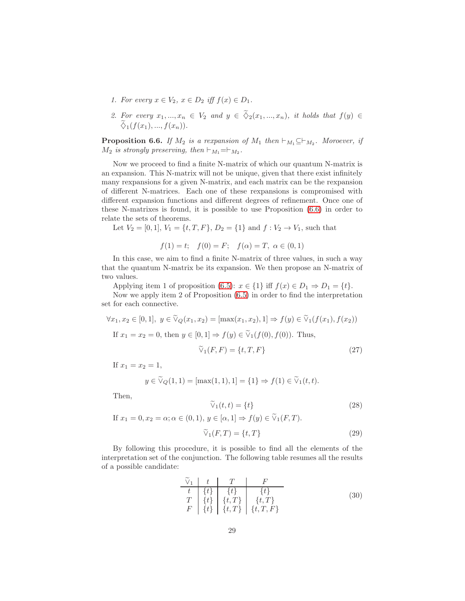- 1. For every  $x \in V_2$ ,  $x \in D_2$  iff  $f(x) \in D_1$ .
- 2. For every  $x_1, ..., x_n \in V_2$  and  $y \in \widetilde{\Diamond}_2(x_1, ..., x_n)$ , it holds that  $f(y) \in$  $\widetilde{\diamond}_{1}(f(x_{1}),...,f(x_{n})).$

<span id="page-28-0"></span>**Proposition 6.6.** If  $M_2$  is a rexpansion of  $M_1$  then  $\vdash_{M_1} \subseteq \vdash_{M_2}$ . Moroever, if  $M_2$  is strongly preserving, then  $\vdash_{M_1}=\vdash_{M_2}$ .

Now we proceed to find a finite N-matrix of which our quantum N-matrix is an expansion. This N-matrix will not be unique, given that there exist infinitely many rexpansions for a given N-matrix, and each matrix can be the rexpansion of different N-matrices. Each one of these rexpansions is compromised with different expansion functions and different degrees of refinement. Once one of these N-matrixes is found, it is possible to use Proposition [\(6.6\)](#page-28-0) in order to relate the sets of theorems.

Let  $V_2 = [0, 1], V_1 = \{t, T, F\}, D_2 = \{1\}$  and  $f: V_2 \to V_1$ , such that

$$
f(1) = t
$$
;  $f(0) = F$ ;  $f(\alpha) = T$ ,  $\alpha \in (0, 1)$ 

In this case, we aim to find a finite N-matrix of three values, in such a way that the quantum N-matrix be its expansion. We then propose an N-matrix of two values.

Applying item 1 of proposition [\(6.5\)](#page-27-0):  $x \in \{1\}$  iff  $f(x) \in D_1 \Rightarrow D_1 = \{t\}.$ 

Now we apply item 2 of Proposition [\(6.5\)](#page-27-0) in order to find the interpretation set for each connective.

 $\forall x_1, x_2 \in [0, 1], y \in \widetilde{\mathcal{V}}_O(x_1, x_2) = [\max(x_1, x_2), 1] \Rightarrow f(y) \in \widetilde{\mathcal{V}}_1(f(x_1), f(x_2))$ If  $x_1 = x_2 = 0$ , then  $y \in [0, 1] \Rightarrow f(y) \in \tilde{V}_1(f(0), f(0))$ . Thus,

$$
\widetilde{\vee}_1(F, F) = \{t, T, F\} \tag{27}
$$

If  $x_1 = x_2 = 1$ ,

$$
y \in \widetilde{\vee}_Q(1,1) = [\max(1,1),1] = \{1\} \Rightarrow f(1) \in \widetilde{\vee}_1(t,t).
$$

Then,

$$
\widetilde{\vee}_1(t,t) = \{t\} \tag{28}
$$

If  $x_1 = 0, x_2 = \alpha; \alpha \in (0, 1), y \in [\alpha, 1] \Rightarrow f(y) \in \widetilde{\mathcal{V}}_1(F, T)$ .

$$
\widetilde{\vee}_1(F,T) = \{t,T\} \tag{29}
$$

By following this procedure, it is possible to find all the elements of the interpretation set of the conjunction. The following table resumes all the results of a possible candidate:

$$
\begin{array}{c|c}\n\widetilde{\vee}_{1} & t & T & F \\
\hline\n t & \{t\} & \{t\} & \{t\} \\
T & \{t\} & \{t,T\} & \{t,T\} \\
F & \{t\} & \{t,T\} & \{t,T,F\}\n\end{array}
$$
\n(30)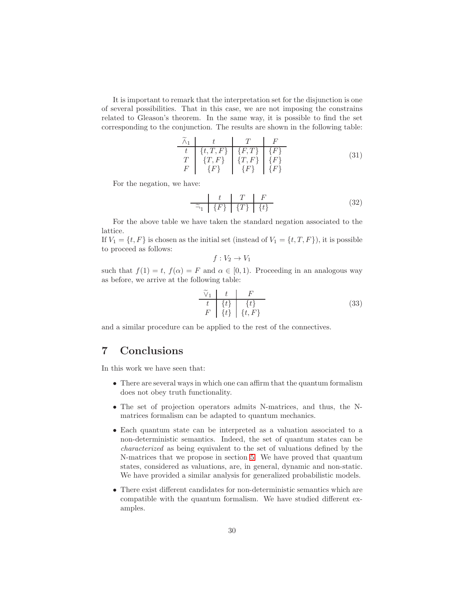It is important to remark that the interpretation set for the disjunction is one of several possibilities. That in this case, we are not imposing the constrains related to Gleason's theorem. In the same way, it is possible to find the set corresponding to the conjunction. The results are shown in the following table:

$$
\begin{array}{c|c}\n\widetilde{\wedge}_1 & t & T & F \\
\hline\nt & \{t, T, F\} & \{F, T\} & \{F\} \\
T & \{T, F\} & \{T, F\} & \{F\} \\
F & \{F\} & \{F\} & \{F\}\n\end{array}
$$
\n(31)

For the negation, we have:

$$
\begin{array}{c|c|c|c|c}\n & t & T & F \\
\hline\n\widetilde{\neg}_1 & \{F\} & \{T\} & \{t\}\n\end{array} \n\tag{32}
$$

For the above table we have taken the standard negation associated to the lattice.

If  $V_1 = \{t, F\}$  is chosen as the initial set (instead of  $V_1 = \{t, T, F\}$ ), it is possible to proceed as follows:

$$
f: V_2 \to V_1
$$

such that  $f(1) = t$ ,  $f(\alpha) = F$  and  $\alpha \in [0, 1)$ . Proceeding in an analogous way as before, we arrive at the following table:

$$
\begin{array}{c|c}\n\widetilde{\vee}_1 & t & F \\
\hline\nt & \{t\} & \{t\} \\
F & \{t\} & \{t, F\}\n\end{array}
$$
\n(33)

and a similar procedure can be applied to the rest of the connectives.

# <span id="page-29-0"></span>7 Conclusions

In this work we have seen that:

- There are several ways in which one can affirm that the quantum formalism does not obey truth functionality.
- The set of projection operators admits N-matrices, and thus, the Nmatrices formalism can be adapted to quantum mechanics.
- Each quantum state can be interpreted as a valuation associated to a non-deterministic semantics. Indeed, the set of quantum states can be characterized as being equivalent to the set of valuations defined by the N-matrices that we propose in section [5.](#page-16-0) We have proved that quantum states, considered as valuations, are, in general, dynamic and non-static. We have provided a similar analysis for generalized probabilistic models.
- There exist different candidates for non-deterministic semantics which are compatible with the quantum formalism. We have studied different examples.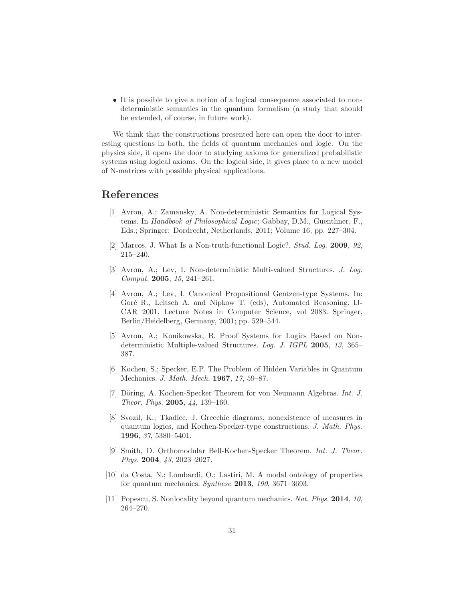• It is possible to give a notion of a logical consequence associated to nondeterministic semantics in the quantum formalism (a study that should be extended, of course, in future work).

We think that the constructions presented here can open the door to interesting questions in both, the fields of quantum mechanics and logic. On the physics side, it opens the door to studying axioms for generalized probabilistic systems using logical axioms. On the logical side, it gives place to a new model of N-matrices with possible physical applications.

## <span id="page-30-0"></span>References

- [1] Avron, A.; Zamansky, A. Non-deterministic Semantics for Logical Systems. In Handbook of Philosophical Logic; Gabbay, D.M., Guenthner, F., Eds.; Springer: Dordrecht, Netherlands, 2011; Volume 16, pp. 227–304.
- <span id="page-30-2"></span><span id="page-30-1"></span>[2] Marcos, J. What Is a Non-truth-functional Logic?. Stud. Log. 2009, 92, 215–240.
- <span id="page-30-3"></span>[3] Avron, A.; Lev, I. Non-deterministic Multi-valued Structures. J. Log. Comput. 2005, 15, 241–261.
- [4] Avron, A.; Lev, I. Canonical Propositional Gentzen-type Systems. In: Goré R., Leitsch A. and Nipkow T. (eds), Automated Reasoning. IJ-CAR 2001. Lecture Notes in Computer Science, vol 2083. Springer, Berlin/Heidelberg, Germany, 2001; pp. 529–544.
- <span id="page-30-4"></span>[5] Avron, A.; Konikowska, B. Proof Systems for Logics Based on Nondeterministic Multiple-valued Structures. Log. J. IGPL 2005, 13, 365– 387.
- <span id="page-30-5"></span>[6] Kochen, S.; Specker, E.P. The Problem of Hidden Variables in Quantum Mechanics. J. Math. Mech. 1967, 17, 59–87.
- <span id="page-30-6"></span>[7] Döring, A. Kochen-Specker Theorem for von Neumann Algebras. *Int. J.* Theor. Phys. 2005, 44, 139–160.
- <span id="page-30-7"></span>[8] Svozil, K.; Tkadlec, J. Greechie diagrams, nonexistence of measures in quantum logics, and Kochen-Specker-type constructions. J. Math. Phys. 1996, 37, 5380–5401.
- <span id="page-30-8"></span>[9] Smith, D. Orthomodular Bell-Kochen-Specker Theorem. Int. J. Theor. Phys. 2004, 43, 2023–2027.
- <span id="page-30-9"></span>[10] da Costa, N.; Lombardi, O.; Lastiri, M. A modal ontology of properties for quantum mechanics. Synthese 2013, 190, 3671–3693.
- <span id="page-30-10"></span>[11] Popescu, S. Nonlocality beyond quantum mechanics. Nat. Phys. 2014, 10, 264–270.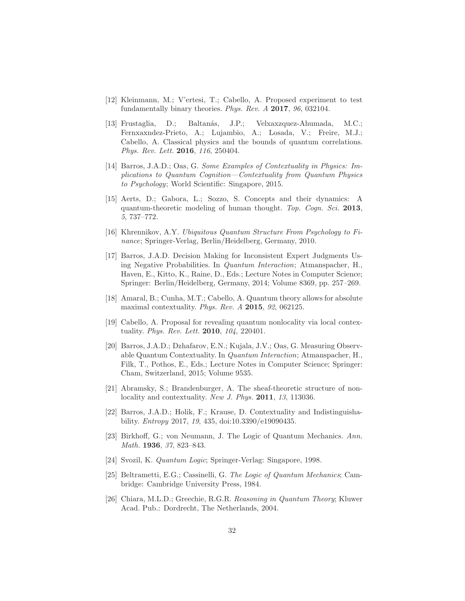- <span id="page-31-1"></span><span id="page-31-0"></span>[12] Kleinmann, M.; V'ertesi, T.; Cabello, A. Proposed experiment to test fundamentally binary theories. Phys. Rev. A 2017, 96, 032104.
- [13] Frustaglia, D.; Baltan´as, J.P.; Velxaxzquez-Ahumada, M.C.; Fernxaxndez-Prieto, A.; Lujambio, A.; Losada, V.; Freire, M.J.; Cabello, A. Classical physics and the bounds of quantum correlations. Phys. Rev. Lett. 2016, 116, 250404.
- <span id="page-31-2"></span>[14] Barros, J.A.D.; Oas, G. Some Examples of Contextuality in Physics: Implications to Quantum Cognition—Contextuality from Quantum Physics to Psychology; World Scientific: Singapore, 2015.
- <span id="page-31-3"></span>[15] Aerts, D.; Gabora, L.; Sozzo, S. Concepts and their dynamics: A quantum-theoretic modeling of human thought. Top. Cogn. Sci. 2013, 5, 737–772.
- <span id="page-31-5"></span><span id="page-31-4"></span>[16] Khrennikov, A.Y. Ubiquitous Quantum Structure From Psychology to Finance; Springer-Verlag, Berlin/Heidelberg, Germany, 2010.
- [17] Barros, J.A.D. Decision Making for Inconsistent Expert Judgments Using Negative Probabilities. In Quantum Interaction; Atmanspacher, H., Haven, E., Kitto, K., Raine, D., Eds.; Lecture Notes in Computer Science; Springer: Berlin/Heidelberg, Germany, 2014; Volume 8369, pp. 257–269.
- <span id="page-31-7"></span><span id="page-31-6"></span>[18] Amaral, B.; Cunha, M.T.; Cabello, A. Quantum theory allows for absolute maximal contextuality. Phys. Rev. A 2015, 92, 062125.
- [19] Cabello, A. Proposal for revealing quantum nonlocality via local contextuality. *Phys. Rev. Lett.* **2010**, 104, 220401.
- <span id="page-31-8"></span>[20] Barros, J.A.D.; Dzhafarov, E.N.; Kujala, J.V.; Oas, G. Measuring Observable Quantum Contextuality. In Quantum Interaction; Atmanspacher, H., Filk, T., Pothos, E., Eds.; Lecture Notes in Computer Science; Springer: Cham, Switzerland, 2015; Volume 9535.
- <span id="page-31-9"></span>[21] Abramsky, S.; Brandenburger, A. The sheaf-theoretic structure of nonlocality and contextuality. New J. Phys. 2011, 13, 113036.
- <span id="page-31-10"></span>[22] Barros, J.A.D.; Holik, F.; Krause, D. Contextuality and Indistinguishability. Entropy 2017, 19, 435, doi:10.3390/e19090435.
- <span id="page-31-11"></span>[23] Birkhoff, G.; von Neumann, J. The Logic of Quantum Mechanics. Ann. Math. 1936, 37, 823–843.
- <span id="page-31-13"></span><span id="page-31-12"></span>[24] Svozil, K. Quantum Logic; Springer-Verlag: Singapore, 1998.
- [25] Beltrametti, E.G.; Cassinelli, G. The Logic of Quantum Mechanics; Cambridge: Cambridge University Press, 1984.
- <span id="page-31-14"></span>[26] Chiara, M.L.D.; Greechie, R.G.R. Reasoning in Quantum Theory; Kluwer Acad. Pub.: Dordrecht, The Netherlands, 2004.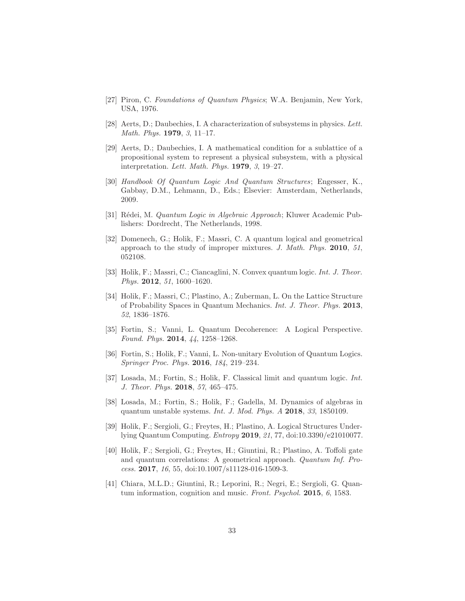- <span id="page-32-1"></span><span id="page-32-0"></span>[27] Piron, C. Foundations of Quantum Physics; W.A. Benjamin, New York, USA, 1976.
- <span id="page-32-2"></span>[28] Aerts, D.; Daubechies, I. A characterization of subsystems in physics. Lett. Math. Phys. 1979, 3, 11–17.
- [29] Aerts, D.; Daubechies, I. A mathematical condition for a sublattice of a propositional system to represent a physical subsystem, with a physical interpretation. Lett. Math. Phys. 1979, 3, 19–27.
- <span id="page-32-3"></span>[30] Handbook Of Quantum Logic And Quantum Structures; Engesser, K., Gabbay, D.M., Lehmann, D., Eds.; Elsevier: Amsterdam, Netherlands, 2009.
- <span id="page-32-5"></span><span id="page-32-4"></span>[31] Rédei, M. Quantum Logic in Algebraic Approach; Kluwer Academic Publishers: Dordrecht, The Netherlands, 1998.
- [32] Domenech, G.; Holik, F.; Massri, C. A quantum logical and geometrical approach to the study of improper mixtures. J. Math. Phys. 2010, 51, 052108.
- [33] Holik, F.; Massri, C.; Ciancaglini, N. Convex quantum logic. Int. J. Theor. Phys. **2012**, 51, 1600–1620.
- <span id="page-32-6"></span>[34] Holik, F.; Massri, C.; Plastino, A.; Zuberman, L. On the Lattice Structure of Probability Spaces in Quantum Mechanics. Int. J. Theor. Phys. 2013, 52, 1836–1876.
- [35] Fortin, S.; Vanni, L. Quantum Decoherence: A Logical Perspective. Found. Phys. 2014, 44, 1258–1268.
- [36] Fortin, S.; Holik, F.; Vanni, L. Non-unitary Evolution of Quantum Logics. Springer Proc. Phys. 2016, 184, 219–234.
- [37] Losada, M.; Fortin, S.; Holik, F. Classical limit and quantum logic. Int. J. Theor. Phys. 2018, 57, 465–475.
- [38] Losada, M.; Fortin, S.; Holik, F.; Gadella, M. Dynamics of algebras in quantum unstable systems. Int. J. Mod. Phys. A 2018, 33, 1850109.
- <span id="page-32-7"></span>[39] Holik, F.; Sergioli, G.; Freytes, H.; Plastino, A. Logical Structures Underlying Quantum Computing. Entropy 2019, 21, 77, doi:10.3390/e21010077.
- <span id="page-32-8"></span>[40] Holik, F.; Sergioli, G.; Freytes, H.; Giuntini, R.; Plastino, A. Toffoli gate and quantum correlations: A geometrical approach. Quantum Inf. Process. 2017, 16, 55, doi:10.1007/s11128-016-1509-3.
- <span id="page-32-9"></span>[41] Chiara, M.L.D.; Giuntini, R.; Leporini, R.; Negri, E.; Sergioli, G. Quantum information, cognition and music. Front. Psychol. 2015, 6, 1583.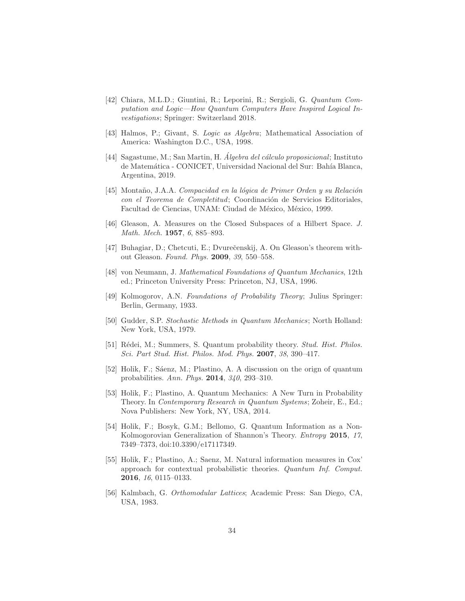- <span id="page-33-0"></span>[42] Chiara, M.L.D.; Giuntini, R.; Leporini, R.; Sergioli, G. Quantum Computation and Logic—How Quantum Computers Have Inspired Logical Investigations; Springer: Switzerland 2018.
- <span id="page-33-2"></span><span id="page-33-1"></span>[43] Halmos, P.; Givant, S. Logic as Algebra; Mathematical Association of America: Washington D.C., USA, 1998.
- [44] Sagastume, M.; San Martin, H. Algebra del cálculo proposicional; Instituto de Matemática - CONICET, Universidad Nacional del Sur: Bahía Blanca, Argentina, 2019.
- <span id="page-33-3"></span>[45] Montaño, J.A.A. Compacidad en la lógica de Primer Orden y su Relación con el Teorema de Completitud; Coordinación de Servicios Editoriales, Facultad de Ciencias, UNAM: Ciudad de México, México, 1999.
- <span id="page-33-5"></span><span id="page-33-4"></span>[46] Gleason, A. Measures on the Closed Subspaces of a Hilbert Space. J. Math. Mech. 1957, 6, 885–893.
- <span id="page-33-6"></span>[47] Buhagiar, D.; Chetcuti, E.; Dvureˇcenskij, A. On Gleason's theorem without Gleason. Found. Phys. 2009, 39, 550–558.
- [48] von Neumann, J. Mathematical Foundations of Quantum Mechanics, 12th ed.; Princeton University Press: Princeton, NJ, USA, 1996.
- <span id="page-33-7"></span>[49] Kolmogorov, A.N. Foundations of Probability Theory; Julius Springer: Berlin, Germany, 1933.
- <span id="page-33-8"></span>[50] Gudder, S.P. Stochastic Methods in Quantum Mechanics; North Holland: New York, USA, 1979.
- <span id="page-33-9"></span>[51] Rédei, M.; Summers, S. Quantum probability theory. Stud. Hist. Philos. Sci. Part Stud. Hist. Philos. Mod. Phys. 2007, 38, 390–417.
- <span id="page-33-10"></span>[52] Holik, F.; Saenz, M.; Plastino, A. A discussion on the orign of quantum probabilities. Ann. Phys. 2014, 340, 293–310.
- <span id="page-33-11"></span>[53] Holik, F.; Plastino, A. Quantum Mechanics: A New Turn in Probability Theory. In Contemporary Research in Quantum Systems; Zoheir, E., Ed.; Nova Publishers: New York, NY, USA, 2014.
- <span id="page-33-12"></span>[54] Holik, F.; Bosyk, G.M.; Bellomo, G. Quantum Information as a Non-Kolmogorovian Generalization of Shannon's Theory. Entropy 2015, 17, 7349–7373, doi:10.3390/e17117349.
- <span id="page-33-13"></span>[55] Holik, F.; Plastino, A.; Saenz, M. Natural information measures in Cox' approach for contextual probabilistic theories. Quantum Inf. Comput. 2016, 16, 0115–0133.
- <span id="page-33-14"></span>[56] Kalmbach, G. Orthomodular Lattices; Academic Press: San Diego, CA, USA, 1983.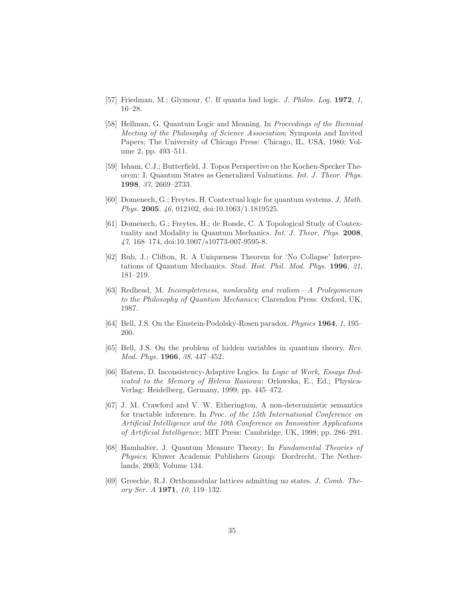- <span id="page-34-1"></span><span id="page-34-0"></span>[57] Friedman, M.; Glymour, C. If quanta had logic. J. Philos. Log. 1972, 1, 16–28.
- [58] Hellman, G. Quantum Logic and Meaning. In Proceedings of the Biennial Meeting of the Philosophy of Science Association; Symposia and Invited Papers; The University of Chicago Press: Chicago, IL, USA, 1980; Volume 2, pp. 493–511.
- <span id="page-34-2"></span>[59] Isham, C.J.; Butterfield, J. Topos Perspective on the Kochen-Specker Theorem: I. Quantum States as Generalized Valuations. Int. J. Theor. Phys. 1998, 37, 2669–2733.
- <span id="page-34-3"></span>[60] Domenech, G.; Freytes, H. Contextual logic for quantum systems. J. Math. Phys. 2005, 46, 012102, doi:10.1063/1.1819525.
- <span id="page-34-4"></span>[61] Domenech, G.; Freytes, H.; de Ronde, C. A Topological Study of Contextuality and Modality in Quantum Mechanics. Int. J. Theor. Phys. 2008, 47, 168–174, doi:10.1007/s10773-007-9595-8.
- <span id="page-34-5"></span>[62] Bub, J.; Clifton, R. A Uniqueness Theorem for 'No Collapse' Interpretations of Quantum Mechanics. Stud. Hist. Phil. Mod. Phys. 1996, 21, 181–219.
- <span id="page-34-6"></span>[63] Redhead, M. Incompleteness, nonlocality and realism—A Prolegomenon to the Philosophy of Quantum Mechanics; Clarendon Press: Oxford, UK, 1987.
- <span id="page-34-8"></span><span id="page-34-7"></span>[64] Bell, J.S. On the Einstein-Podolsky-Rosen paradox. Physics 1964, 1, 195– 200.
- <span id="page-34-9"></span>[65] Bell, J.S. On the problem of hidden variables in quantum theory. Rev. Mod. Phys. 1966, 38, 447–452.
- [66] Batens, D. Inconsistency-Adaptive Logics. In Logic at Work, Essays Dedicated to the Memory of Helena Rasiowa; Orlowska, E., Ed.; Physica-Verlag: Heidelberg, Germany, 1999; pp. 445–472.
- <span id="page-34-10"></span>[67] J. M. Crawford and V. W. Etherington, A non-deterministic semantics for tractable inference. In Proc. of the 15th International Conference on Artificial Intelligence and the 10th Conference on Innovative Applications of Artificial Intelligence; MIT Press: Cambridge, UK, 1998; pp. 286–291.
- <span id="page-34-11"></span>[68] Hamhalter, J. Quantum Measure Theory; In Fundamental Theories of Physics; Kluwer Academic Publishers Group: Dordrecht, The Netherlands, 2003; Volume 134.
- <span id="page-34-12"></span>[69] Greechie, R.J. Orthomodular lattices admitting no states. J. Comb. Theory Ser. A 1971, 10, 119–132.